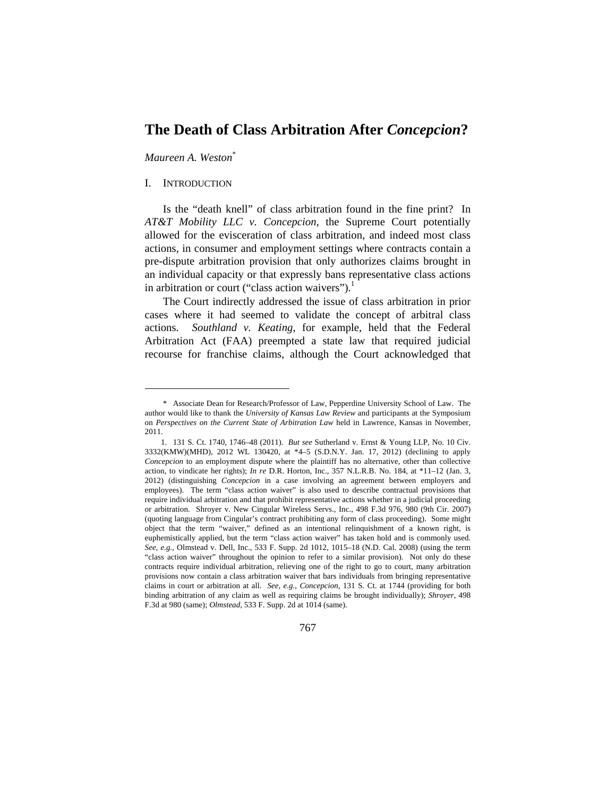# **The Death of Class Arbitration After** *Concepcion***?**

*Maureen A. Weston*\*

## I. INTRODUCTION

 $\overline{a}$ 

Is the "death knell" of class arbitration found in the fine print? In *AT&T Mobility LLC v. Concepcion*, the Supreme Court potentially allowed for the evisceration of class arbitration, and indeed most class actions, in consumer and employment settings where contracts contain a pre-dispute arbitration provision that only authorizes claims brought in an individual capacity or that expressly bans representative class actions in arbitration or court ("class action waivers").<sup>1</sup>

The Court indirectly addressed the issue of class arbitration in prior cases where it had seemed to validate the concept of arbitral class actions. *Southland v. Keating*, for example, held that the Federal Arbitration Act (FAA) preempted a state law that required judicial recourse for franchise claims, although the Court acknowledged that

 <sup>1. 131</sup> S. Ct. 1740, 1746–48 (2011). *But see* Sutherland v. Ernst & Young LLP, No. 10 Civ. 3332(KMW)(MHD), 2012 WL 130420, at \*4–5 (S.D.N.Y. Jan. 17, 2012) (declining to apply *Concepcion* to an employment dispute where the plaintiff has no alternative, other than collective action, to vindicate her rights); *In re* D.R. Horton, Inc., 357 N.L.R.B. No. 184, at \*11–12 (Jan. 3, 2012) (distinguishing *Concepcion* in a case involving an agreement between employers and employees). The term "class action waiver" is also used to describe contractual provisions that require individual arbitration and that prohibit representative actions whether in a judicial proceeding or arbitration. Shroyer v. New Cingular Wireless Servs., Inc., 498 F.3d 976, 980 (9th Cir. 2007) (quoting language from Cingular's contract prohibiting any form of class proceeding). Some might object that the term "waiver," defined as an intentional relinquishment of a known right, is euphemistically applied, but the term "class action waiver" has taken hold and is commonly used. *See, e.g.*, Olmstead v. Dell, Inc., 533 F. Supp. 2d 1012, 1015–18 (N.D. Cal. 2008) (using the term "class action waiver" throughout the opinion to refer to a similar provision). Not only do these contracts require individual arbitration, relieving one of the right to go to court, many arbitration provisions now contain a class arbitration waiver that bars individuals from bringing representative claims in court or arbitration at all. *See, e.g.*, *Concepcion*, 131 S. Ct. at 1744 (providing for both binding arbitration of any claim as well as requiring claims be brought individually); *Shroyer*, 498 F.3d at 980 (same); *Olmstead*, 533 F. Supp. 2d at 1014 (same).



<sup>\*</sup> Associate Dean for Research/Professor of Law, Pepperdine University School of Law. The author would like to thank the *University of Kansas Law Review* and participants at the Symposium on *Perspectives on the Current State of Arbitration Law* held in Lawrence, Kansas in November, 2011.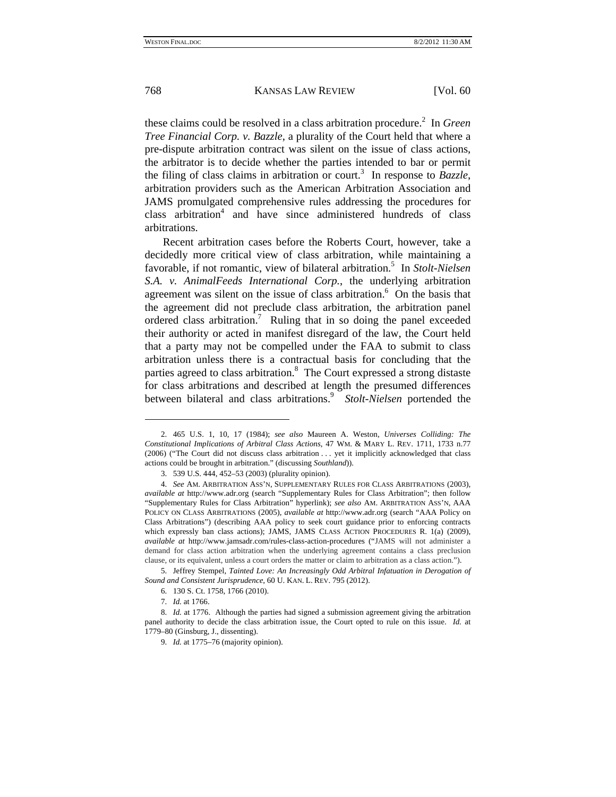these claims could be resolved in a class arbitration procedure.<sup>2</sup> In *Green Tree Financial Corp. v. Bazzle*, a plurality of the Court held that where a pre-dispute arbitration contract was silent on the issue of class actions, the arbitrator is to decide whether the parties intended to bar or permit the filing of class claims in arbitration or court.<sup>3</sup> In response to  $\textit{Bazzle}$ , arbitration providers such as the American Arbitration Association and JAMS promulgated comprehensive rules addressing the procedures for class arbitration<sup>4</sup> and have since administered hundreds of class arbitrations.

Recent arbitration cases before the Roberts Court, however, take a decidedly more critical view of class arbitration, while maintaining a favorable, if not romantic, view of bilateral arbitration.<sup>5</sup> In *Stolt-Nielsen S.A. v. AnimalFeeds International Corp.*, the underlying arbitration agreement was silent on the issue of class arbitration. $6$  On the basis that the agreement did not preclude class arbitration, the arbitration panel ordered class arbitration.<sup>7</sup> Ruling that in so doing the panel exceeded their authority or acted in manifest disregard of the law, the Court held that a party may not be compelled under the FAA to submit to class arbitration unless there is a contractual basis for concluding that the parties agreed to class arbitration.<sup>8</sup> The Court expressed a strong distaste for class arbitrations and described at length the presumed differences between bilateral and class arbitrations.<sup>9</sup> Stolt-Nielsen portended the

7. *Id.* at 1766.

 <sup>2. 465</sup> U.S. 1, 10, 17 (1984); *see also* Maureen A. Weston, *Universes Colliding: The Constitutional Implications of Arbitral Class Actions*, 47 WM. & MARY L. REV. 1711, 1733 n.77 (2006) ("The Court did not discuss class arbitration . . . yet it implicitly acknowledged that class actions could be brought in arbitration." (discussing *Southland*)).

 <sup>3. 539</sup> U.S. 444, 452–53 (2003) (plurality opinion).

<sup>4.</sup> *See* AM. ARBITRATION ASS'N, SUPPLEMENTARY RULES FOR CLASS ARBITRATIONS (2003), *available at* http://www.adr.org (search "Supplementary Rules for Class Arbitration"; then follow "Supplementary Rules for Class Arbitration" hyperlink); *see also* AM. ARBITRATION ASS'N, AAA POLICY ON CLASS ARBITRATIONS (2005), *available at* http://www.adr.org (search "AAA Policy on Class Arbitrations") (describing AAA policy to seek court guidance prior to enforcing contracts which expressly ban class actions); JAMS, JAMS CLASS ACTION PROCEDURES R. 1(a) (2009), *available at* http://www.jamsadr.com/rules-class-action-procedures ("JAMS will not administer a demand for class action arbitration when the underlying agreement contains a class preclusion clause, or its equivalent, unless a court orders the matter or claim to arbitration as a class action.").

 <sup>5.</sup> Jeffrey Stempel, *Tainted Love: An Increasingly Odd Arbitral Infatuation in Derogation of Sound and Consistent Jurisprudence*, 60 U. KAN. L. REV. 795 (2012).

 <sup>6. 130</sup> S. Ct. 1758, 1766 (2010).

<sup>8.</sup> *Id.* at 1776. Although the parties had signed a submission agreement giving the arbitration panel authority to decide the class arbitration issue, the Court opted to rule on this issue. *Id.* at 1779–80 (Ginsburg, J., dissenting).

<sup>9.</sup> *Id.* at 1775–76 (majority opinion).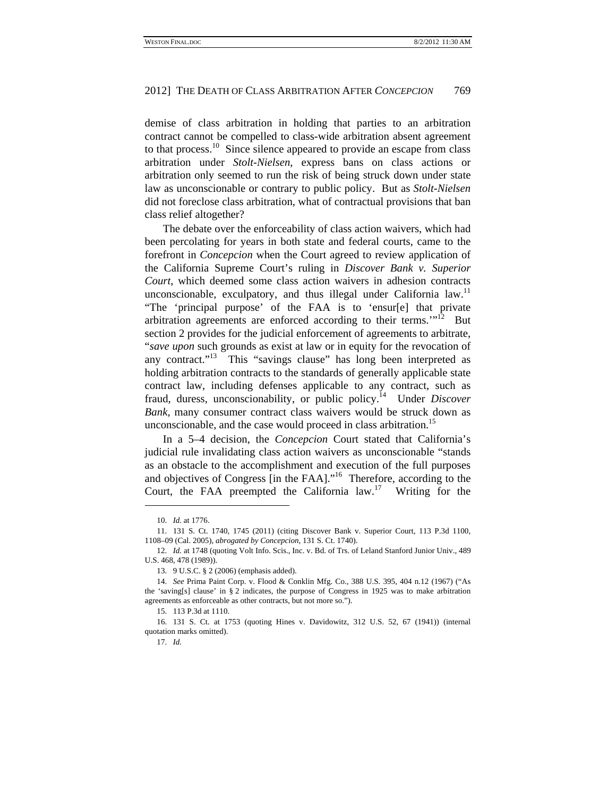demise of class arbitration in holding that parties to an arbitration contract cannot be compelled to class-wide arbitration absent agreement to that process.<sup>10</sup> Since silence appeared to provide an escape from class arbitration under *Stolt-Nielsen*, express bans on class actions or arbitration only seemed to run the risk of being struck down under state law as unconscionable or contrary to public policy. But as *Stolt-Nielsen*  did not foreclose class arbitration, what of contractual provisions that ban class relief altogether?

The debate over the enforceability of class action waivers, which had been percolating for years in both state and federal courts, came to the forefront in *Concepcion* when the Court agreed to review application of the California Supreme Court's ruling in *Discover Bank v. Superior Court*, which deemed some class action waivers in adhesion contracts unconscionable, exculpatory, and thus illegal under California law.<sup>11</sup> "The 'principal purpose' of the FAA is to 'ensur[e] that private arbitration agreements are enforced according to their terms."<sup>12</sup> But section 2 provides for the judicial enforcement of agreements to arbitrate, "*save upon* such grounds as exist at law or in equity for the revocation of any contract."<sup>13</sup> This "savings clause" has long been interpreted as holding arbitration contracts to the standards of generally applicable state contract law, including defenses applicable to any contract, such as fraud, duress, unconscionability, or public policy.14 Under *Discover Bank*, many consumer contract class waivers would be struck down as unconscionable, and the case would proceed in class arbitration.<sup>15</sup>

In a 5–4 decision, the *Concepcion* Court stated that California's judicial rule invalidating class action waivers as unconscionable "stands as an obstacle to the accomplishment and execution of the full purposes and objectives of Congress [in the FAA]."16 Therefore, according to the Court, the FAA preempted the California law.17 Writing for the

<sup>10.</sup> *Id.* at 1776.

 <sup>11. 131</sup> S. Ct. 1740, 1745 (2011) (citing Discover Bank v. Superior Court, 113 P.3d 1100, 1108–09 (Cal. 2005), *abrogated by Concepcion*, 131 S. Ct. 1740).

<sup>12.</sup> *Id.* at 1748 (quoting Volt Info. Scis., Inc. v. Bd. of Trs. of Leland Stanford Junior Univ., 489 U.S. 468, 478 (1989)).

 <sup>13. 9</sup> U.S.C. § 2 (2006) (emphasis added).

<sup>14.</sup> *See* Prima Paint Corp. v. Flood & Conklin Mfg. Co., 388 U.S. 395, 404 n.12 (1967) ("As the 'saving[s] clause' in § 2 indicates, the purpose of Congress in 1925 was to make arbitration agreements as enforceable as other contracts, but not more so.").

 <sup>15. 113</sup> P.3d at 1110.

 <sup>16. 131</sup> S. Ct. at 1753 (quoting Hines v. Davidowitz, 312 U.S. 52, 67 (1941)) (internal quotation marks omitted).

<sup>17.</sup> *Id.*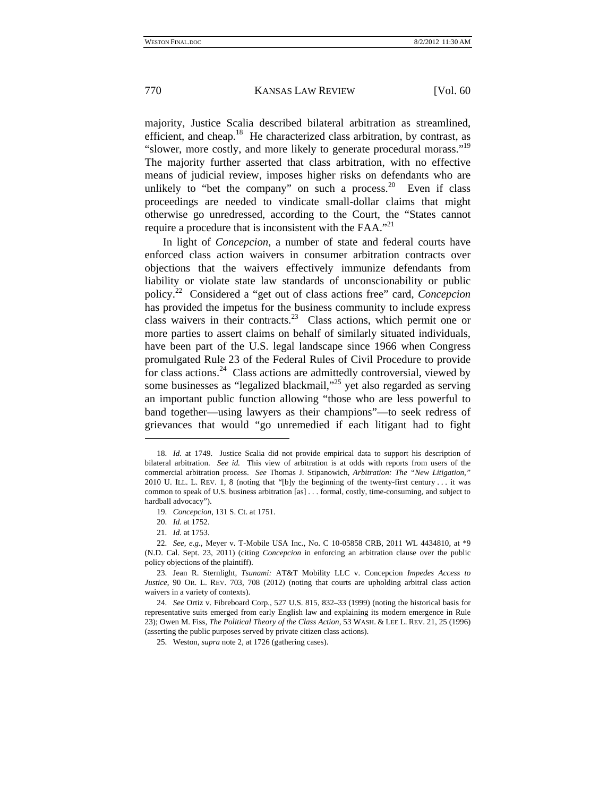majority, Justice Scalia described bilateral arbitration as streamlined, efficient, and cheap.<sup>18</sup> He characterized class arbitration, by contrast, as "slower, more costly, and more likely to generate procedural morass."<sup>19</sup> The majority further asserted that class arbitration, with no effective means of judicial review, imposes higher risks on defendants who are unlikely to "bet the company" on such a process. $20$  Even if class proceedings are needed to vindicate small-dollar claims that might otherwise go unredressed, according to the Court, the "States cannot require a procedure that is inconsistent with the FAA."<sup>21</sup>

In light of *Concepcion*, a number of state and federal courts have enforced class action waivers in consumer arbitration contracts over objections that the waivers effectively immunize defendants from liability or violate state law standards of unconscionability or public policy.22 Considered a "get out of class actions free" card, *Concepcion* has provided the impetus for the business community to include express class waivers in their contracts.<sup>23</sup> Class actions, which permit one or more parties to assert claims on behalf of similarly situated individuals, have been part of the U.S. legal landscape since 1966 when Congress promulgated Rule 23 of the Federal Rules of Civil Procedure to provide for class actions. $24$  Class actions are admittedly controversial, viewed by some businesses as "legalized blackmail,"<sup>25</sup> yet also regarded as serving an important public function allowing "those who are less powerful to band together—using lawyers as their champions"—to seek redress of grievances that would "go unremedied if each litigant had to fight

 $\overline{a}$ 

<sup>18.</sup> *Id.* at 1749. Justice Scalia did not provide empirical data to support his description of bilateral arbitration. *See id.* This view of arbitration is at odds with reports from users of the commercial arbitration process. *See* Thomas J. Stipanowich, *Arbitration: The "New Litigation*,*"* 2010 U. ILL. L. REV. 1, 8 (noting that "[b]y the beginning of the twenty-first century . . . it was common to speak of U.S. business arbitration [as] . . . formal, costly, time-consuming, and subject to hardball advocacy").

<sup>19.</sup> *Concepcion*, 131 S. Ct. at 1751.

<sup>20.</sup> *Id.* at 1752.

<sup>21.</sup> *Id.* at 1753.

<sup>22.</sup> *See, e.g.*, Meyer v. T-Mobile USA Inc., No. C 10-05858 CRB, 2011 WL 4434810, at \*9 (N.D. Cal. Sept. 23, 2011) (citing *Concepcion* in enforcing an arbitration clause over the public policy objections of the plaintiff).

 <sup>23.</sup> Jean R. Sternlight, *Tsunami:* AT&T Mobility LLC v. Concepcion *Impedes Access to Justice*, 90 OR. L. REV. 703, 708 (2012) (noting that courts are upholding arbitral class action waivers in a variety of contexts).

<sup>24.</sup> *See* Ortiz v. Fibreboard Corp., 527 U.S. 815, 832–33 (1999) (noting the historical basis for representative suits emerged from early English law and explaining its modern emergence in Rule 23); Owen M. Fiss, *The Political Theory of the Class Action*, 53 WASH. & LEE L. REV. 21, 25 (1996) (asserting the public purposes served by private citizen class actions).

 <sup>25.</sup> Weston, *supra* note 2, at 1726 (gathering cases).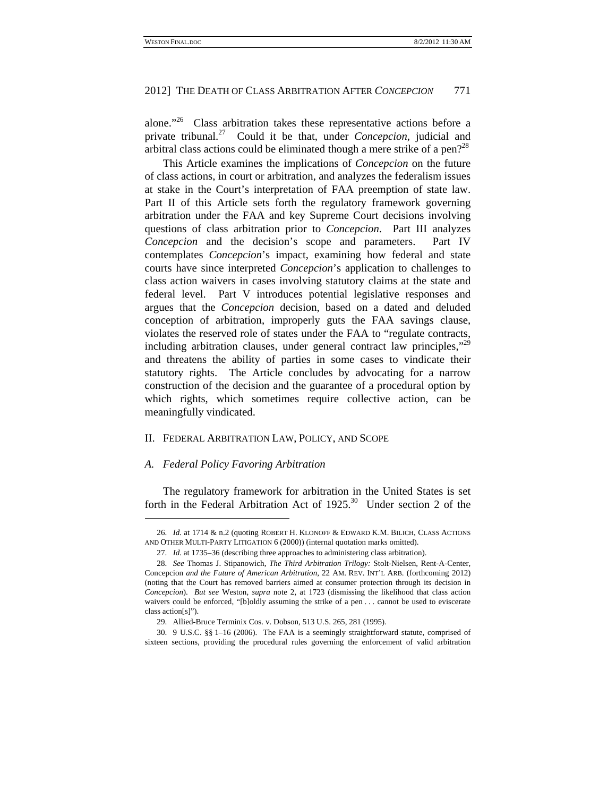alone."26 Class arbitration takes these representative actions before a private tribunal.27 Could it be that, under *Concepcion*, judicial and arbitral class actions could be eliminated though a mere strike of a pen?<sup>28</sup>

This Article examines the implications of *Concepcion* on the future of class actions, in court or arbitration, and analyzes the federalism issues at stake in the Court's interpretation of FAA preemption of state law. Part II of this Article sets forth the regulatory framework governing arbitration under the FAA and key Supreme Court decisions involving questions of class arbitration prior to *Concepcion*. Part III analyzes *Concepcion* and the decision's scope and parameters. Part IV contemplates *Concepcion*'s impact, examining how federal and state courts have since interpreted *Concepcion*'s application to challenges to class action waivers in cases involving statutory claims at the state and federal level. Part V introduces potential legislative responses and argues that the *Concepcion* decision, based on a dated and deluded conception of arbitration, improperly guts the FAA savings clause, violates the reserved role of states under the FAA to "regulate contracts, including arbitration clauses, under general contract law principles,"<sup>29</sup> and threatens the ability of parties in some cases to vindicate their statutory rights. The Article concludes by advocating for a narrow construction of the decision and the guarantee of a procedural option by which rights, which sometimes require collective action, can be meaningfully vindicated.

## II. FEDERAL ARBITRATION LAW, POLICY, AND SCOPE

## *A. Federal Policy Favoring Arbitration*

 $\overline{a}$ 

The regulatory framework for arbitration in the United States is set forth in the Federal Arbitration Act of 1925.<sup>30</sup> Under section 2 of the

<sup>26.</sup> *Id.* at 1714 & n.2 (quoting ROBERT H. KLONOFF & EDWARD K.M. BILICH, CLASS ACTIONS AND OTHER MULTI-PARTY LITIGATION 6 (2000)) (internal quotation marks omitted).

<sup>27.</sup> *Id.* at 1735–36 (describing three approaches to administering class arbitration).

<sup>28.</sup> *See* Thomas J. Stipanowich, *The Third Arbitration Trilogy:* Stolt-Nielsen*,* Rent-A-Center*,* Concepcion *and the Future of American Arbitration*, 22 AM. REV. INT'L ARB. (forthcoming 2012) (noting that the Court has removed barriers aimed at consumer protection through its decision in *Concepcion*). *But see* Weston, *supra* note 2, at 1723 (dismissing the likelihood that class action waivers could be enforced, "[b]oldly assuming the strike of a pen . . . cannot be used to eviscerate class action[s]").

 <sup>29.</sup> Allied-Bruce Terminix Cos. v. Dobson, 513 U.S. 265, 281 (1995).

 <sup>30. 9</sup> U.S.C. §§ 1–16 (2006). The FAA is a seemingly straightforward statute, comprised of sixteen sections, providing the procedural rules governing the enforcement of valid arbitration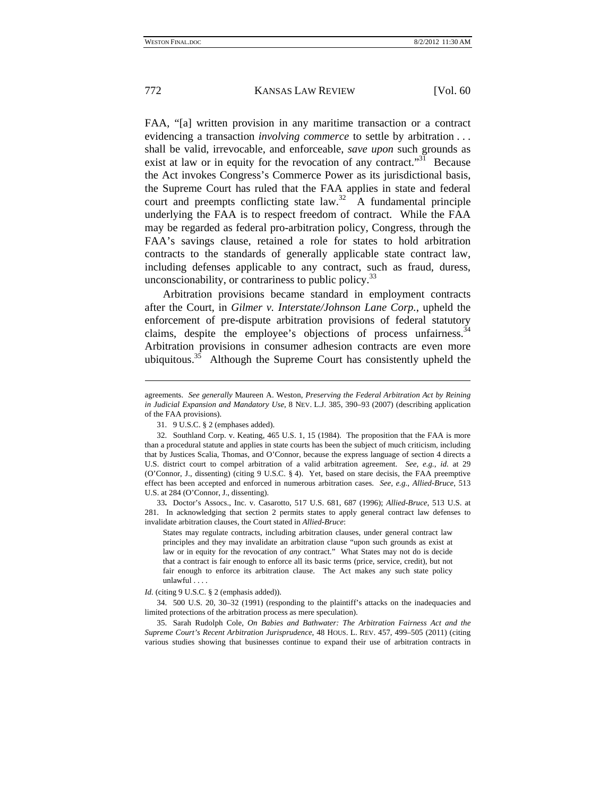1

772 KANSAS LAW REVIEW [Vol. 60

FAA, "[a] written provision in any maritime transaction or a contract evidencing a transaction *involving commerce* to settle by arbitration . . . shall be valid, irrevocable, and enforceable, *save upon* such grounds as exist at law or in equity for the revocation of any contract."<sup>31</sup> Because the Act invokes Congress's Commerce Power as its jurisdictional basis, the Supreme Court has ruled that the FAA applies in state and federal court and preempts conflicting state law.<sup>32</sup> A fundamental principle underlying the FAA is to respect freedom of contract. While the FAA may be regarded as federal pro-arbitration policy, Congress, through the FAA's savings clause, retained a role for states to hold arbitration contracts to the standards of generally applicable state contract law, including defenses applicable to any contract, such as fraud, duress, unconscionability, or contrariness to public policy.33

Arbitration provisions became standard in employment contracts after the Court, in *Gilmer v. Interstate/Johnson Lane Corp.*, upheld the enforcement of pre-dispute arbitration provisions of federal statutory claims, despite the employee's objections of process unfairness.<sup>34</sup> Arbitration provisions in consumer adhesion contracts are even more ubiquitous.<sup>35</sup> Although the Supreme Court has consistently upheld the

33**.** Doctor's Assocs., Inc. v. Casarotto, 517 U.S. 681, 687 (1996); *Allied-Bruce*, 513 U.S. at 281. In acknowledging that section 2 permits states to apply general contract law defenses to invalidate arbitration clauses, the Court stated in *Allied-Bruce*:

States may regulate contracts, including arbitration clauses, under general contract law principles and they may invalidate an arbitration clause "upon such grounds as exist at law or in equity for the revocation of *any* contract." What States may not do is decide that a contract is fair enough to enforce all its basic terms (price, service, credit), but not fair enough to enforce its arbitration clause. The Act makes any such state policy unlawful . . . .

agreements. *See generally* Maureen A. Weston, *Preserving the Federal Arbitration Act by Reining in Judicial Expansion and Mandatory Use*, 8 NEV. L.J. 385, 390–93 (2007) (describing application of the FAA provisions).

 <sup>31. 9</sup> U.S.C. § 2 (emphases added).

 <sup>32.</sup> Southland Corp. v. Keating, 465 U.S. 1, 15 (1984). The proposition that the FAA is more than a procedural statute and applies in state courts has been the subject of much criticism, including that by Justices Scalia, Thomas, and O'Connor, because the express language of section 4 directs a U.S. district court to compel arbitration of a valid arbitration agreement. *See, e.g.*, *id.* at 29 (O'Connor, J., dissenting) (citing 9 U.S.C. § 4). Yet, based on stare decisis, the FAA preemptive effect has been accepted and enforced in numerous arbitration cases. *See, e.g.*, *Allied-Bruce*, 513 U.S. at 284 (O'Connor, J., dissenting).

*Id.* (citing 9 U.S.C. § 2 (emphasis added)).

 <sup>34. 500</sup> U.S. 20, 30–32 (1991) (responding to the plaintiff's attacks on the inadequacies and limited protections of the arbitration process as mere speculation).

 <sup>35.</sup> Sarah Rudolph Cole, *On Babies and Bathwater: The Arbitration Fairness Act and the Supreme Court's Recent Arbitration Jurisprudence*, 48 HOUS. L. REV. 457, 499–505 (2011) (citing various studies showing that businesses continue to expand their use of arbitration contracts in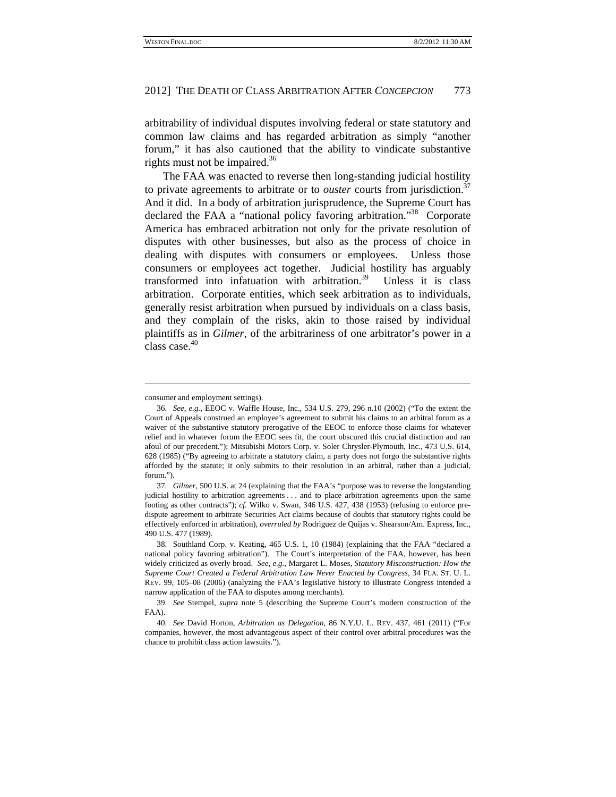arbitrability of individual disputes involving federal or state statutory and common law claims and has regarded arbitration as simply "another forum," it has also cautioned that the ability to vindicate substantive rights must not be impaired.<sup>36</sup>

The FAA was enacted to reverse then long-standing judicial hostility to private agreements to arbitrate or to *ouster* courts from jurisdiction.<sup>37</sup> And it did. In a body of arbitration jurisprudence, the Supreme Court has declared the FAA a "national policy favoring arbitration."<sup>38</sup> Corporate America has embraced arbitration not only for the private resolution of disputes with other businesses, but also as the process of choice in dealing with disputes with consumers or employees. Unless those consumers or employees act together. Judicial hostility has arguably transformed into infatuation with arbitration. $39$  Unless it is class arbitration. Corporate entities, which seek arbitration as to individuals, generally resist arbitration when pursued by individuals on a class basis, and they complain of the risks, akin to those raised by individual plaintiffs as in *Gilmer*, of the arbitrariness of one arbitrator's power in a class case.<sup>40</sup>

consumer and employment settings).

<sup>36.</sup> *See, e.g.*, EEOC v. Waffle House, Inc., 534 U.S. 279, 296 n.10 (2002) ("To the extent the Court of Appeals construed an employee's agreement to submit his claims to an arbitral forum as a waiver of the substantive statutory prerogative of the EEOC to enforce those claims for whatever relief and in whatever forum the EEOC sees fit, the court obscured this crucial distinction and ran afoul of our precedent."); Mitsubishi Motors Corp. v. Soler Chrysler-Plymouth, Inc., 473 U.S. 614, 628 (1985) ("By agreeing to arbitrate a statutory claim, a party does not forgo the substantive rights afforded by the statute; it only submits to their resolution in an arbitral, rather than a judicial, forum.").

<sup>37.</sup> *Gilmer*, 500 U.S. at 24 (explaining that the FAA's "purpose was to reverse the longstanding judicial hostility to arbitration agreements . . . and to place arbitration agreements upon the same footing as other contracts"); *cf.* Wilko v. Swan, 346 U.S. 427, 438 (1953) (refusing to enforce predispute agreement to arbitrate Securities Act claims because of doubts that statutory rights could be effectively enforced in arbitration), *overruled by* Rodriguez de Quijas v. Shearson/Am. Express, Inc., 490 U.S. 477 (1989).

 <sup>38.</sup> Southland Corp. v. Keating, 465 U.S. 1, 10 (1984) (explaining that the FAA "declared a national policy favoring arbitration"). The Court's interpretation of the FAA, however, has been widely criticized as overly broad. *See, e.g.*, Margaret L. Moses, *Statutory Misconstruction: How the Supreme Court Created a Federal Arbitration Law Never Enacted by Congress*, 34 FLA. ST. U. L. REV. 99, 105–08 (2006) (analyzing the FAA's legislative history to illustrate Congress intended a narrow application of the FAA to disputes among merchants).

<sup>39.</sup> *See* Stempel, *supra* note 5 (describing the Supreme Court's modern construction of the FAA).

<sup>40.</sup> *See* David Horton, *Arbitration as Delegation*, 86 N.Y.U. L. REV. 437, 461 (2011) ("For companies, however, the most advantageous aspect of their control over arbitral procedures was the chance to prohibit class action lawsuits.").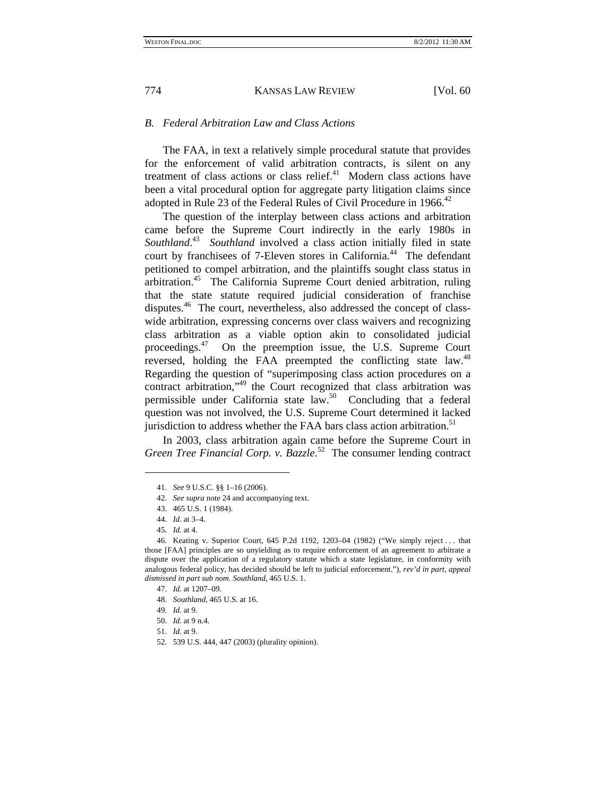# *B. Federal Arbitration Law and Class Actions*

The FAA, in text a relatively simple procedural statute that provides for the enforcement of valid arbitration contracts, is silent on any treatment of class actions or class relief. $41$  Modern class actions have been a vital procedural option for aggregate party litigation claims since adopted in Rule 23 of the Federal Rules of Civil Procedure in 1966.<sup>42</sup>

The question of the interplay between class actions and arbitration came before the Supreme Court indirectly in the early 1980s in *Southland*. 43 *Southland* involved a class action initially filed in state court by franchisees of 7-Eleven stores in California.<sup>44</sup> The defendant petitioned to compel arbitration, and the plaintiffs sought class status in arbitration.<sup>45</sup> The California Supreme Court denied arbitration, ruling that the state statute required judicial consideration of franchise disputes.<sup>46</sup> The court, nevertheless, also addressed the concept of classwide arbitration, expressing concerns over class waivers and recognizing class arbitration as a viable option akin to consolidated judicial proceedings.<sup>47</sup> On the preemption issue, the U.S. Supreme Court reversed, holding the FAA preempted the conflicting state law.<sup>48</sup> Regarding the question of "superimposing class action procedures on a contract arbitration,"<sup>49</sup> the Court recognized that class arbitration was permissible under California state law.<sup>50</sup> Concluding that a federal question was not involved, the U.S. Supreme Court determined it lacked jurisdiction to address whether the FAA bars class action arbitration.<sup>51</sup>

In 2003, class arbitration again came before the Supreme Court in *Green Tree Financial Corp. v. Bazzle*. 52 The consumer lending contract

 $\overline{\phantom{a}}$ 

51. *Id.* at 9.

<sup>41.</sup> *See* 9 U.S.C. §§ 1–16 (2006).

<sup>42.</sup> *See supra* note 24 and accompanying text.

 <sup>43. 465</sup> U.S. 1 (1984).

<sup>44.</sup> *Id.* at 3–4.

<sup>45.</sup> *Id.* at 4.

 <sup>46.</sup> Keating v. Superior Court, 645 P.2d 1192, 1203–04 (1982) ("We simply reject . . . that those [FAA] principles are so unyielding as to require enforcement of an agreement to arbitrate a dispute over the application of a regulatory statute which a state legislature, in conformity with analogous federal policy, has decided should be left to judicial enforcement."), *rev'd in part*, *appeal dismissed in part sub nom. Southland*, 465 U.S. 1.

<sup>47.</sup> *Id.* at 1207–09.

<sup>48.</sup> *Southland*, 465 U.S. at 16.

<sup>49.</sup> *Id.* at 9.

<sup>50.</sup> *Id.* at 9 n.4.

 <sup>52. 539</sup> U.S. 444, 447 (2003) (plurality opinion).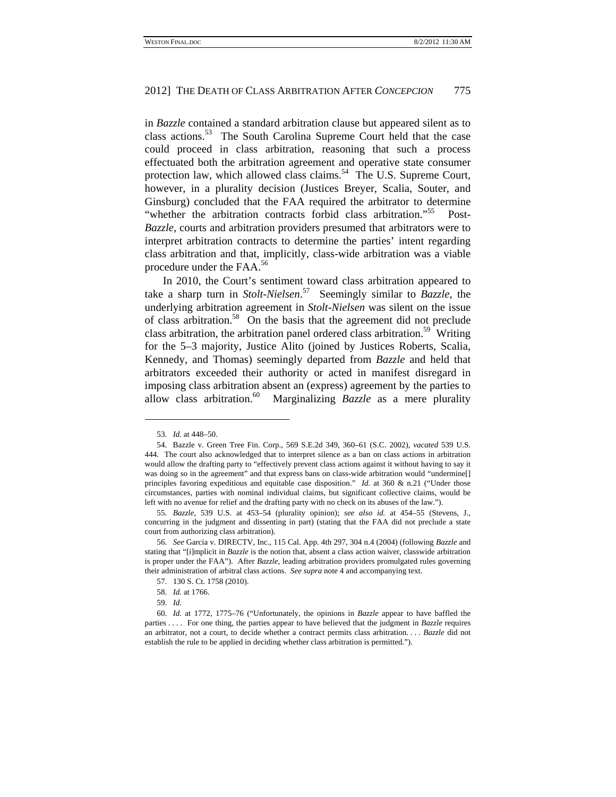in *Bazzle* contained a standard arbitration clause but appeared silent as to class actions.<sup>53</sup> The South Carolina Supreme Court held that the case could proceed in class arbitration, reasoning that such a process effectuated both the arbitration agreement and operative state consumer protection law, which allowed class claims.<sup>54</sup> The U.S. Supreme Court, however, in a plurality decision (Justices Breyer, Scalia, Souter, and Ginsburg) concluded that the FAA required the arbitrator to determine "whether the arbitration contracts forbid class arbitration."<sup>55</sup> Post-*Bazzle*, courts and arbitration providers presumed that arbitrators were to interpret arbitration contracts to determine the parties' intent regarding class arbitration and that, implicitly, class-wide arbitration was a viable procedure under the FAA.<sup>56</sup>

In 2010, the Court's sentiment toward class arbitration appeared to take a sharp turn in *Stolt-Nielsen*. 57 Seemingly similar to *Bazzle*, the underlying arbitration agreement in *Stolt-Nielsen* was silent on the issue of class arbitration.58 On the basis that the agreement did not preclude class arbitration, the arbitration panel ordered class arbitration.<sup>59</sup> Writing for the 5–3 majority, Justice Alito (joined by Justices Roberts, Scalia, Kennedy, and Thomas) seemingly departed from *Bazzle* and held that arbitrators exceeded their authority or acted in manifest disregard in imposing class arbitration absent an (express) agreement by the parties to allow class arbitration.60 Marginalizing *Bazzle* as a mere plurality

<sup>53.</sup> *Id.* at 448–50.

 <sup>54.</sup> Bazzle v. Green Tree Fin. Corp., 569 S.E.2d 349, 360–61 (S.C. 2002), *vacated* 539 U.S. 444. The court also acknowledged that to interpret silence as a ban on class actions in arbitration would allow the drafting party to "effectively prevent class actions against it without having to say it was doing so in the agreement" and that express bans on class-wide arbitration would "undermine[] principles favoring expeditious and equitable case disposition." *Id.* at 360 & n.21 ("Under those circumstances, parties with nominal individual claims, but significant collective claims, would be left with no avenue for relief and the drafting party with no check on its abuses of the law.").

<sup>55.</sup> *Bazzle*, 539 U.S. at 453–54 (plurality opinion); *see also id.* at 454–55 (Stevens, J., concurring in the judgment and dissenting in part) (stating that the FAA did not preclude a state court from authorizing class arbitration).

<sup>56.</sup> *See* Garcia v. DIRECTV, Inc., 115 Cal. App. 4th 297, 304 n.4 (2004) (following *Bazzle* and stating that "[i]mplicit in *Bazzle* is the notion that, absent a class action waiver, classwide arbitration is proper under the FAA"). After *Bazzle*, leading arbitration providers promulgated rules governing their administration of arbitral class actions. *See supra* note 4 and accompanying text.

 <sup>57. 130</sup> S. Ct. 1758 (2010).

<sup>58.</sup> *Id.* at 1766.

<sup>59.</sup> *Id.*

<sup>60.</sup> *Id.* at 1772, 1775–76 ("Unfortunately, the opinions in *Bazzle* appear to have baffled the parties . . . . For one thing, the parties appear to have believed that the judgment in *Bazzle* requires an arbitrator, not a court, to decide whether a contract permits class arbitration. . . . *Bazzle* did not establish the rule to be applied in deciding whether class arbitration is permitted.").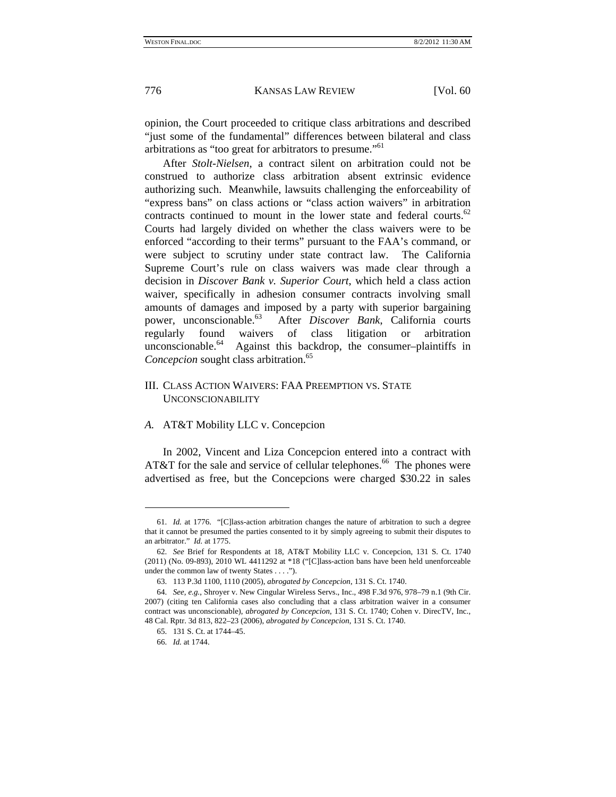opinion, the Court proceeded to critique class arbitrations and described "just some of the fundamental" differences between bilateral and class arbitrations as "too great for arbitrators to presume."61

After *Stolt-Nielsen*, a contract silent on arbitration could not be construed to authorize class arbitration absent extrinsic evidence authorizing such. Meanwhile, lawsuits challenging the enforceability of "express bans" on class actions or "class action waivers" in arbitration contracts continued to mount in the lower state and federal courts.<sup>62</sup> Courts had largely divided on whether the class waivers were to be enforced "according to their terms" pursuant to the FAA's command, or were subject to scrutiny under state contract law. The California Supreme Court's rule on class waivers was made clear through a decision in *Discover Bank v. Superior Court*, which held a class action waiver, specifically in adhesion consumer contracts involving small amounts of damages and imposed by a party with superior bargaining power, unconscionable.63 After *Discover Bank*, California courts regularly found waivers of class litigation or arbitration unconscionable.<sup>64</sup> Against this backdrop, the consumer-plaintiffs in *Concepcion* sought class arbitration.<sup>65</sup>

# III. CLASS ACTION WAIVERS: FAA PREEMPTION VS. STATE UNCONSCIONABILITY

# *A.* AT&T Mobility LLC v. Concepcion

In 2002, Vincent and Liza Concepcion entered into a contract with AT&T for the sale and service of cellular telephones.<sup>66</sup> The phones were advertised as free, but the Concepcions were charged \$30.22 in sales

<sup>61.</sup> *Id.* at 1776. "[C]lass-action arbitration changes the nature of arbitration to such a degree that it cannot be presumed the parties consented to it by simply agreeing to submit their disputes to an arbitrator." *Id.* at 1775.

<sup>62.</sup> *See* Brief for Respondents at 18, AT&T Mobility LLC v. Concepcion, 131 S. Ct. 1740 (2011) (No. 09-893), 2010 WL 4411292 at \*18 ("[C]lass-action bans have been held unenforceable under the common law of twenty States . . . .").

 <sup>63. 113</sup> P.3d 1100, 1110 (2005), *abrogated by Concepcion*, 131 S. Ct. 1740.

<sup>64.</sup> *See, e.g.*, Shroyer v. New Cingular Wireless Servs., Inc., 498 F.3d 976, 978–79 n.1 (9th Cir. 2007) (citing ten California cases also concluding that a class arbitration waiver in a consumer contract was unconscionable), *abrogated by Concepcion*, 131 S. Ct. 1740; Cohen v. DirecTV, Inc., 48 Cal. Rptr. 3d 813, 822–23 (2006), *abrogated by Concepcion*, 131 S. Ct. 1740.

 <sup>65. 131</sup> S. Ct. at 1744–45.

<sup>66.</sup> *Id.* at 1744.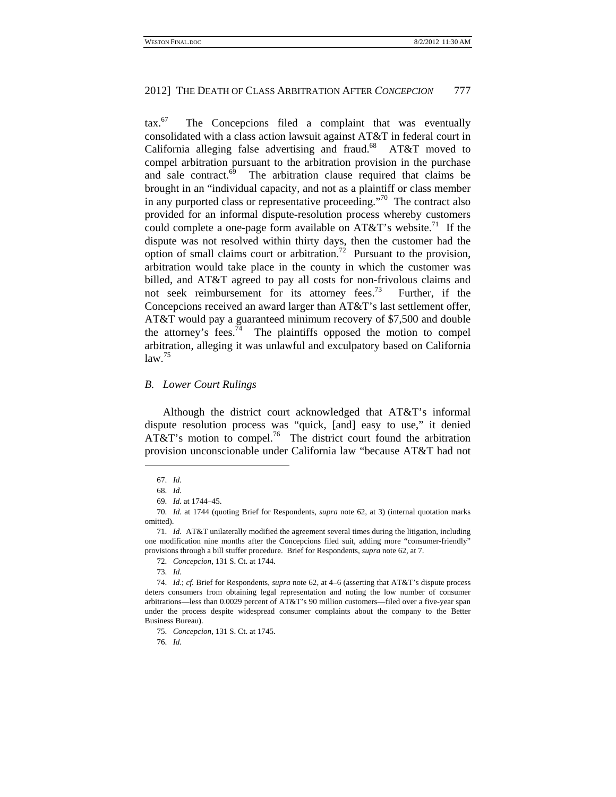$\arctan 67$  The Concepcions filed a complaint that was eventually consolidated with a class action lawsuit against AT&T in federal court in California alleging false advertising and fraud.<sup>68</sup> AT&T moved to compel arbitration pursuant to the arbitration provision in the purchase and sale contract. $69$  The arbitration clause required that claims be brought in an "individual capacity, and not as a plaintiff or class member in any purported class or representative proceeding."<sup>70</sup> The contract also provided for an informal dispute-resolution process whereby customers could complete a one-page form available on  $AT&T$ 's website.<sup>71</sup> If the dispute was not resolved within thirty days, then the customer had the option of small claims court or arbitration.<sup>72</sup> Pursuant to the provision, arbitration would take place in the county in which the customer was billed, and AT&T agreed to pay all costs for non-frivolous claims and not seek reimbursement for its attorney fees.<sup>73</sup> Further, if the Concepcions received an award larger than AT&T's last settlement offer, AT&T would pay a guaranteed minimum recovery of \$7,500 and double the attorney's fees.<sup>74</sup> The plaintiffs opposed the motion to compel arbitration, alleging it was unlawful and exculpatory based on California  $law.<sup>75</sup>$ 

## *B. Lower Court Rulings*

Although the district court acknowledged that AT&T's informal dispute resolution process was "quick, [and] easy to use," it denied AT&T's motion to compel.<sup>76</sup> The district court found the arbitration provision unconscionable under California law "because AT&T had not

 $\overline{\phantom{a}}$ 

75. *Concepcion*, 131 S. Ct. at 1745.

76. *Id.*

<sup>67.</sup> *Id.*

<sup>68.</sup> *Id.*

<sup>69.</sup> *Id.* at 1744–45.

<sup>70.</sup> *Id.* at 1744 (quoting Brief for Respondents, *supra* note 62, at 3) (internal quotation marks omitted).

<sup>71.</sup> *Id.* AT&T unilaterally modified the agreement several times during the litigation, including one modification nine months after the Concepcions filed suit, adding more "consumer-friendly" provisions through a bill stuffer procedure. Brief for Respondents, *supra* note 62, at 7.

<sup>72.</sup> *Concepcion*, 131 S. Ct. at 1744.

<sup>73.</sup> *Id.*

<sup>74.</sup> *Id*.; *cf.* Brief for Respondents, *supra* note 62, at 4–6 (asserting that AT&T's dispute process deters consumers from obtaining legal representation and noting the low number of consumer arbitrations—less than 0.0029 percent of AT&T's 90 million customers—filed over a five-year span under the process despite widespread consumer complaints about the company to the Better Business Bureau).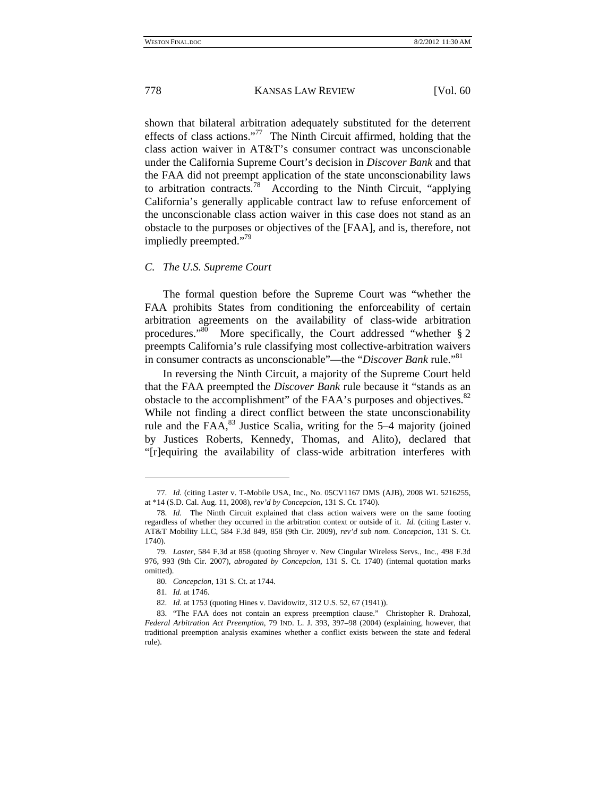shown that bilateral arbitration adequately substituted for the deterrent effects of class actions."<sup>77</sup> The Ninth Circuit affirmed, holding that the class action waiver in AT&T's consumer contract was unconscionable under the California Supreme Court's decision in *Discover Bank* and that the FAA did not preempt application of the state unconscionability laws to arbitration contracts*.* 78 According to the Ninth Circuit, "applying California's generally applicable contract law to refuse enforcement of the unconscionable class action waiver in this case does not stand as an obstacle to the purposes or objectives of the [FAA], and is, therefore, not impliedly preempted."79

## *C. The U.S. Supreme Court*

The formal question before the Supreme Court was "whether the FAA prohibits States from conditioning the enforceability of certain arbitration agreements on the availability of class-wide arbitration procedures."80 More specifically, the Court addressed "whether § 2 preempts California's rule classifying most collective-arbitration waivers in consumer contracts as unconscionable"—the "*Discover Bank* rule."<sup>81</sup>

In reversing the Ninth Circuit, a majority of the Supreme Court held that the FAA preempted the *Discover Bank* rule because it "stands as an obstacle to the accomplishment" of the FAA's purposes and objectives.<sup>82</sup> While not finding a direct conflict between the state unconscionability rule and the  $FAA$ <sup>83</sup>, Justice Scalia, writing for the 5–4 majority (joined by Justices Roberts, Kennedy, Thomas, and Alito), declared that "[r]equiring the availability of class-wide arbitration interferes with

<sup>77.</sup> *Id.* (citing Laster v. T-Mobile USA, Inc., No. 05CV1167 DMS (AJB), 2008 WL 5216255, at \*14 (S.D. Cal. Aug. 11, 2008), *rev'd by Concepcion*, 131 S. Ct. 1740).

<sup>78.</sup> *Id.* The Ninth Circuit explained that class action waivers were on the same footing regardless of whether they occurred in the arbitration context or outside of it. *Id.* (citing Laster v. AT&T Mobility LLC, 584 F.3d 849, 858 (9th Cir. 2009), *rev'd sub nom. Concepcion*, 131 S. Ct. 1740).

<sup>79.</sup> *Laster*, 584 F.3d at 858 (quoting Shroyer v. New Cingular Wireless Servs., Inc., 498 F.3d 976, 993 (9th Cir. 2007), *abrogated by Concepcion*, 131 S. Ct. 1740) (internal quotation marks omitted).

<sup>80.</sup> *Concepcion*, 131 S. Ct. at 1744.

<sup>81.</sup> *Id.* at 1746.

<sup>82.</sup> *Id.* at 1753 (quoting Hines v. Davidowitz, 312 U.S. 52, 67 (1941)).

 <sup>83. &</sup>quot;The FAA does not contain an express preemption clause." Christopher R. Drahozal, *Federal Arbitration Act Preemption*, 79 IND. L. J. 393, 397–98 (2004) (explaining, however, that traditional preemption analysis examines whether a conflict exists between the state and federal rule).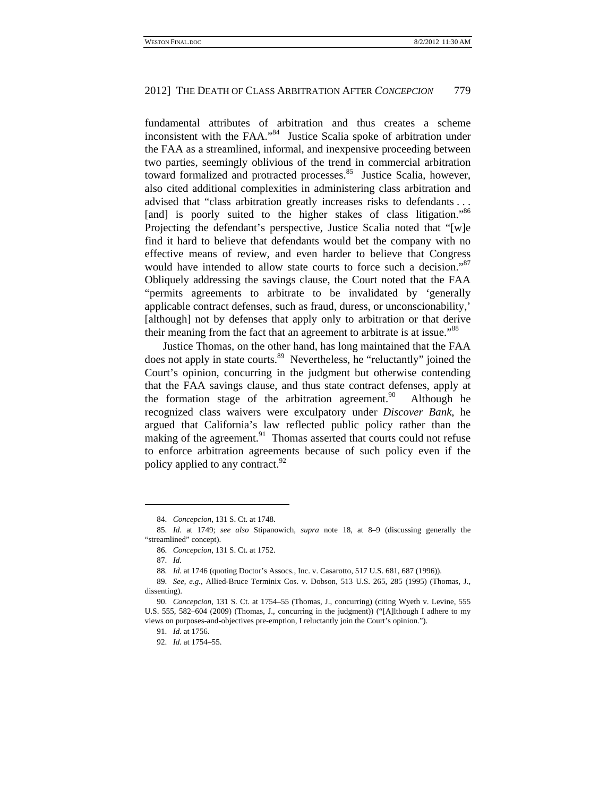fundamental attributes of arbitration and thus creates a scheme inconsistent with the FAA."84 Justice Scalia spoke of arbitration under the FAA as a streamlined, informal, and inexpensive proceeding between two parties, seemingly oblivious of the trend in commercial arbitration toward formalized and protracted processes.<sup>85</sup> Justice Scalia, however, also cited additional complexities in administering class arbitration and advised that "class arbitration greatly increases risks to defendants . . . [and] is poorly suited to the higher stakes of class litigation."<sup>86</sup> Projecting the defendant's perspective, Justice Scalia noted that "[w]e find it hard to believe that defendants would bet the company with no effective means of review, and even harder to believe that Congress would have intended to allow state courts to force such a decision."<sup>87</sup> Obliquely addressing the savings clause, the Court noted that the FAA "permits agreements to arbitrate to be invalidated by 'generally applicable contract defenses, such as fraud, duress, or unconscionability,' [although] not by defenses that apply only to arbitration or that derive their meaning from the fact that an agreement to arbitrate is at issue."<sup>88</sup>

Justice Thomas, on the other hand, has long maintained that the FAA does not apply in state courts.<sup>89</sup> Nevertheless, he "reluctantly" joined the Court's opinion, concurring in the judgment but otherwise contending that the FAA savings clause, and thus state contract defenses, apply at the formation stage of the arbitration agreement.<sup>90</sup> Although he recognized class waivers were exculpatory under *Discover Bank*, he argued that California's law reflected public policy rather than the making of the agreement.<sup>91</sup> Thomas asserted that courts could not refuse to enforce arbitration agreements because of such policy even if the policy applied to any contract.<sup>92</sup>

<sup>84.</sup> *Concepcion*, 131 S. Ct. at 1748.

<sup>85.</sup> *Id.* at 1749; *see also* Stipanowich, *supra* note 18, at 8–9 (discussing generally the "streamlined" concept).

<sup>86.</sup> *Concepcion*, 131 S. Ct. at 1752.

<sup>87.</sup> *Id.*

<sup>88.</sup> *Id.* at 1746 (quoting Doctor's Assocs., Inc. v. Casarotto, 517 U.S. 681, 687 (1996)).

<sup>89.</sup> *See, e.g.*, Allied-Bruce Terminix Cos. v. Dobson, 513 U.S. 265, 285 (1995) (Thomas, J., dissenting).

<sup>90.</sup> *Concepcion*, 131 S. Ct. at 1754–55 (Thomas, J., concurring) (citing Wyeth v. Levine, 555 U.S. 555, 582–604 (2009) (Thomas, J., concurring in the judgment)) ("[A]lthough I adhere to my views on purposes-and-objectives pre-emption, I reluctantly join the Court's opinion.").

<sup>91.</sup> *Id.* at 1756.

<sup>92.</sup> *Id.* at 1754–55.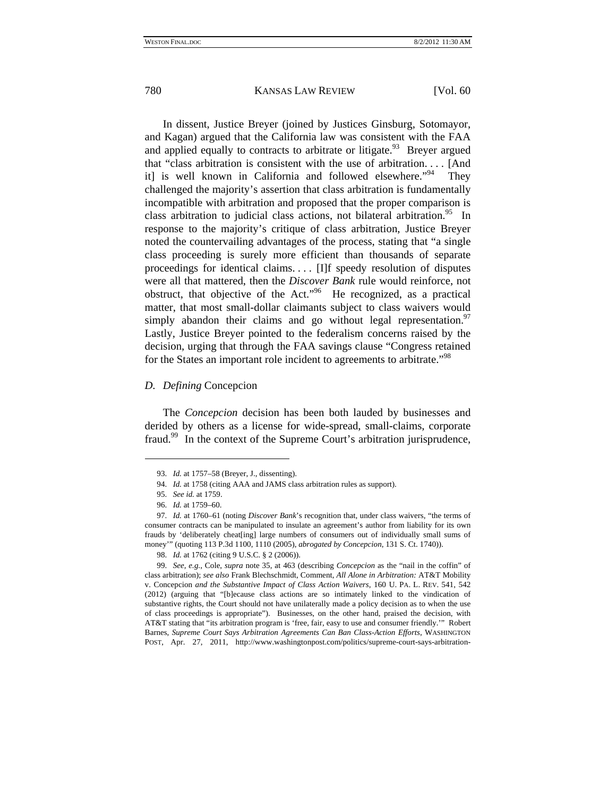In dissent, Justice Breyer (joined by Justices Ginsburg, Sotomayor, and Kagan) argued that the California law was consistent with the FAA and applied equally to contracts to arbitrate or litigate.<sup>93</sup> Breyer argued that "class arbitration is consistent with the use of arbitration. . . . [And it] is well known in California and followed elsewhere."<sup>94</sup> They challenged the majority's assertion that class arbitration is fundamentally incompatible with arbitration and proposed that the proper comparison is class arbitration to judicial class actions, not bilateral arbitration.<sup>95</sup> In response to the majority's critique of class arbitration, Justice Breyer noted the countervailing advantages of the process, stating that "a single class proceeding is surely more efficient than thousands of separate proceedings for identical claims. . . . [I]f speedy resolution of disputes were all that mattered, then the *Discover Bank* rule would reinforce, not obstruct, that objective of the Act."96 He recognized, as a practical matter, that most small-dollar claimants subject to class waivers would simply abandon their claims and go without legal representation.<sup>97</sup> Lastly, Justice Breyer pointed to the federalism concerns raised by the decision, urging that through the FAA savings clause "Congress retained for the States an important role incident to agreements to arbitrate."98

## *D. Defining* Concepcion

The *Concepcion* decision has been both lauded by businesses and derided by others as a license for wide-spread, small-claims, corporate fraud.<sup>99</sup> In the context of the Supreme Court's arbitration jurisprudence,

<sup>93.</sup> *Id.* at 1757–58 (Breyer, J., dissenting).

<sup>94.</sup> *Id.* at 1758 (citing AAA and JAMS class arbitration rules as support).

<sup>95.</sup> *See id.* at 1759.

<sup>96.</sup> *Id.* at 1759–60.

<sup>97.</sup> *Id.* at 1760–61 (noting *Discover Bank*'s recognition that, under class waivers, "the terms of consumer contracts can be manipulated to insulate an agreement's author from liability for its own frauds by 'deliberately cheat[ing] large numbers of consumers out of individually small sums of money'" (quoting 113 P.3d 1100, 1110 (2005), *abrogated by Concepcion*, 131 S. Ct. 1740)).

<sup>98.</sup> *Id.* at 1762 (citing 9 U.S.C. § 2 (2006)).

<sup>99.</sup> *See, e.g.*, Cole, *supra* note 35, at 463 (describing *Concepcion* as the "nail in the coffin" of class arbitration); *see also* Frank Blechschmidt, Comment, *All Alone in Arbitration:* AT&T Mobility v. Concepcion *and the Substantive Impact of Class Action Waivers*, 160 U. PA. L. REV. 541, 542 (2012) (arguing that "[b]ecause class actions are so intimately linked to the vindication of substantive rights, the Court should not have unilaterally made a policy decision as to when the use of class proceedings is appropriate"). Businesses, on the other hand, praised the decision, with AT&T stating that "its arbitration program is 'free, fair, easy to use and consumer friendly.'" Robert Barnes, *Supreme Court Says Arbitration Agreements Can Ban Class-Action Efforts*, WASHINGTON POST, Apr. 27, 2011, http://www.washingtonpost.com/politics/supreme-court-says-arbitration-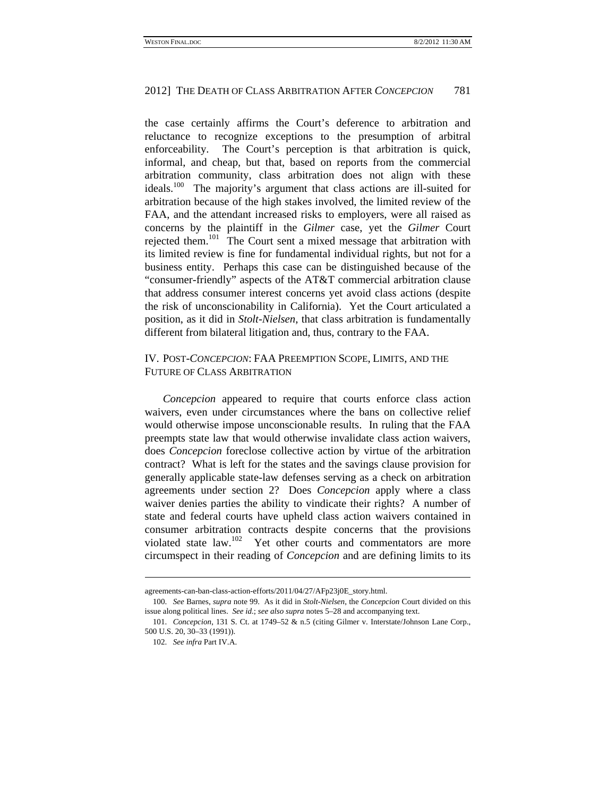the case certainly affirms the Court's deference to arbitration and reluctance to recognize exceptions to the presumption of arbitral enforceability. The Court's perception is that arbitration is quick, informal, and cheap, but that, based on reports from the commercial arbitration community, class arbitration does not align with these ideals.<sup>100</sup> The majority's argument that class actions are ill-suited for arbitration because of the high stakes involved, the limited review of the FAA, and the attendant increased risks to employers, were all raised as concerns by the plaintiff in the *Gilmer* case, yet the *Gilmer* Court rejected them.<sup>101</sup> The Court sent a mixed message that arbitration with its limited review is fine for fundamental individual rights, but not for a business entity. Perhaps this case can be distinguished because of the "consumer-friendly" aspects of the AT&T commercial arbitration clause that address consumer interest concerns yet avoid class actions (despite the risk of unconscionability in California). Yet the Court articulated a position, as it did in *Stolt-Nielsen*, that class arbitration is fundamentally different from bilateral litigation and, thus, contrary to the FAA.

# IV. POST*-CONCEPCION*: FAA PREEMPTION SCOPE, LIMITS, AND THE FUTURE OF CLASS ARBITRATION

*Concepcion* appeared to require that courts enforce class action waivers, even under circumstances where the bans on collective relief would otherwise impose unconscionable results. In ruling that the FAA preempts state law that would otherwise invalidate class action waivers, does *Concepcion* foreclose collective action by virtue of the arbitration contract? What is left for the states and the savings clause provision for generally applicable state-law defenses serving as a check on arbitration agreements under section 2? Does *Concepcion* apply where a class waiver denies parties the ability to vindicate their rights? A number of state and federal courts have upheld class action waivers contained in consumer arbitration contracts despite concerns that the provisions violated state law.102 Yet other courts and commentators are more circumspect in their reading of *Concepcion* and are defining limits to its

agreements-can-ban-class-action-efforts/2011/04/27/AFp23j0E\_story.html.

<sup>100.</sup> *See* Barnes, *supra* note 99. As it did in *Stolt-Nielsen*, the *Concepcion* Court divided on this issue along political lines. *See id.*; *see also supra* notes 5–28 and accompanying text.

<sup>101.</sup> *Concepcion*, 131 S. Ct. at 1749–52 & n.5 (citing Gilmer v. Interstate/Johnson Lane Corp., 500 U.S. 20, 30–33 (1991)).

<sup>102.</sup> *See infra* Part IV.A.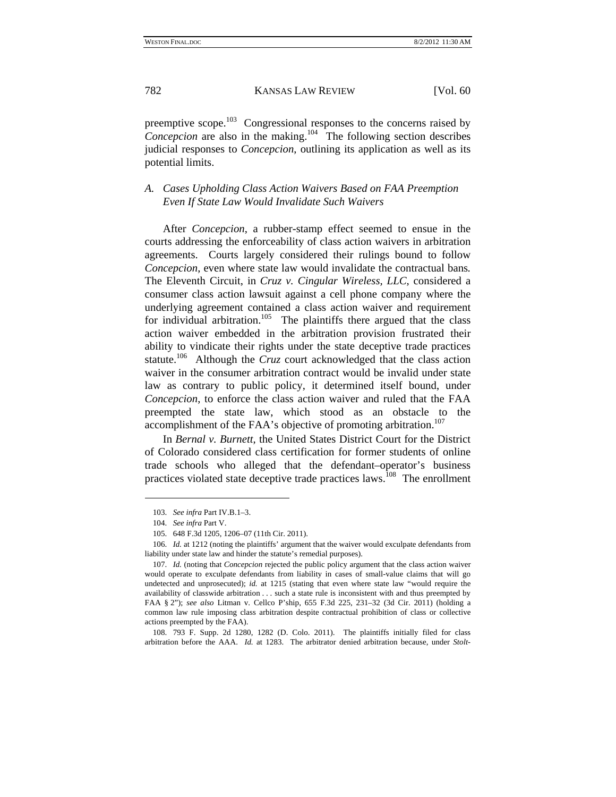preemptive scope.<sup>103</sup> Congressional responses to the concerns raised by *Concepcion* are also in the making.<sup>104</sup> The following section describes judicial responses to *Concepcion*, outlining its application as well as its potential limits.

# *A. Cases Upholding Class Action Waivers Based on FAA Preemption Even If State Law Would Invalidate Such Waivers*

After *Concepcion*, a rubber-stamp effect seemed to ensue in the courts addressing the enforceability of class action waivers in arbitration agreements. Courts largely considered their rulings bound to follow *Concepcion*, even where state law would invalidate the contractual bans*.*  The Eleventh Circuit, in *Cruz v. Cingular Wireless, LLC*, considered a consumer class action lawsuit against a cell phone company where the underlying agreement contained a class action waiver and requirement for individual arbitration.<sup>105</sup> The plaintiffs there argued that the class action waiver embedded in the arbitration provision frustrated their ability to vindicate their rights under the state deceptive trade practices statute.<sup>106</sup> Although the *Cruz* court acknowledged that the class action waiver in the consumer arbitration contract would be invalid under state law as contrary to public policy, it determined itself bound, under *Concepcion*, to enforce the class action waiver and ruled that the FAA preempted the state law, which stood as an obstacle to the accomplishment of the FAA's objective of promoting arbitration.<sup>107</sup>

In *Bernal v. Burnett*, the United States District Court for the District of Colorado considered class certification for former students of online trade schools who alleged that the defendant–operator's business practices violated state deceptive trade practices laws.<sup>108</sup> The enrollment

<sup>103.</sup> *See infra* Part IV.B.1–3.

<sup>104.</sup> *See infra* Part V.

 <sup>105. 648</sup> F.3d 1205, 1206–07 (11th Cir. 2011).

<sup>106.</sup> *Id.* at 1212 (noting the plaintiffs' argument that the waiver would exculpate defendants from liability under state law and hinder the statute's remedial purposes).

<sup>107.</sup> *Id.* (noting that *Concepcion* rejected the public policy argument that the class action waiver would operate to exculpate defendants from liability in cases of small-value claims that will go undetected and unprosecuted); *id.* at 1215 (stating that even where state law "would require the availability of classwide arbitration . . . such a state rule is inconsistent with and thus preempted by FAA § 2"); *see also* Litman v. Cellco P'ship, 655 F.3d 225, 231–32 (3d Cir. 2011) (holding a common law rule imposing class arbitration despite contractual prohibition of class or collective actions preempted by the FAA).

 <sup>108. 793</sup> F. Supp. 2d 1280, 1282 (D. Colo. 2011). The plaintiffs initially filed for class arbitration before the AAA. *Id.* at 1283. The arbitrator denied arbitration because, under *Stolt-*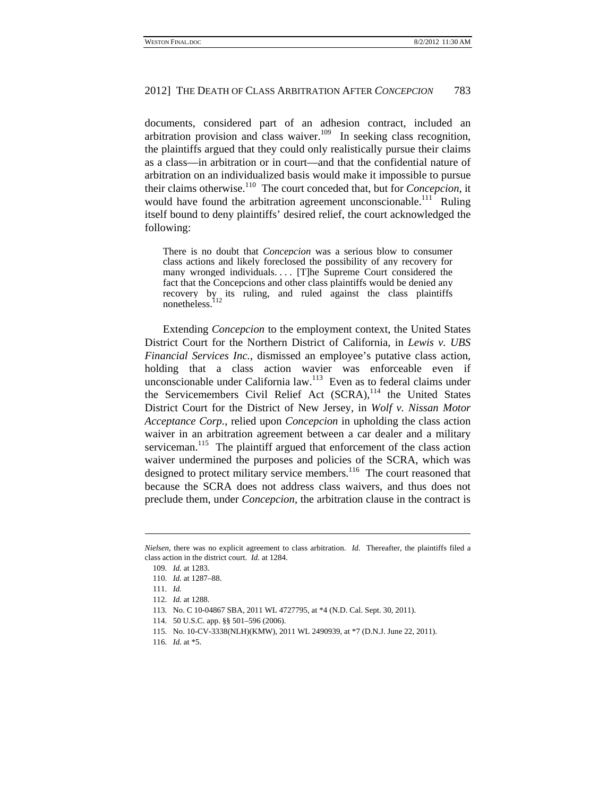documents, considered part of an adhesion contract, included an arbitration provision and class waiver.<sup>109</sup> In seeking class recognition, the plaintiffs argued that they could only realistically pursue their claims as a class—in arbitration or in court—and that the confidential nature of arbitration on an individualized basis would make it impossible to pursue their claims otherwise.110 The court conceded that, but for *Concepcion*, it would have found the arbitration agreement unconscionable.<sup>111</sup> Ruling itself bound to deny plaintiffs' desired relief, the court acknowledged the following:

There is no doubt that *Concepcion* was a serious blow to consumer class actions and likely foreclosed the possibility of any recovery for many wronged individuals.... [T]he Supreme Court considered the fact that the Concepcions and other class plaintiffs would be denied any recovery by its ruling, and ruled against the class plaintiffs nonetheless.

Extending *Concepcion* to the employment context, the United States District Court for the Northern District of California, in *Lewis v. UBS Financial Services Inc.*, dismissed an employee's putative class action, holding that a class action wavier was enforceable even if unconscionable under California law.113 Even as to federal claims under the Servicemembers Civil Relief Act (SCRA),<sup>114</sup> the United States District Court for the District of New Jersey, in *Wolf v. Nissan Motor Acceptance Corp.*, relied upon *Concepcion* in upholding the class action waiver in an arbitration agreement between a car dealer and a military serviceman.<sup>115</sup> The plaintiff argued that enforcement of the class action waiver undermined the purposes and policies of the SCRA, which was designed to protect military service members.<sup>116</sup> The court reasoned that because the SCRA does not address class waivers, and thus does not preclude them, under *Concepcion*, the arbitration clause in the contract is

1

*Nielsen*, there was no explicit agreement to class arbitration. *Id.* Thereafter, the plaintiffs filed a class action in the district court. *Id.* at 1284.

<sup>109.</sup> *Id.* at 1283.

<sup>110.</sup> *Id.* at 1287–88.

<sup>111.</sup> *Id.*

<sup>112.</sup> *Id.* at 1288.

 <sup>113.</sup> No. C 10-04867 SBA, 2011 WL 4727795, at \*4 (N.D. Cal. Sept. 30, 2011).

 <sup>114. 50</sup> U.S.C. app. §§ 501–596 (2006).

 <sup>115.</sup> No. 10-CV-3338(NLH)(KMW), 2011 WL 2490939, at \*7 (D.N.J. June 22, 2011).

<sup>116.</sup> *Id.* at \*5.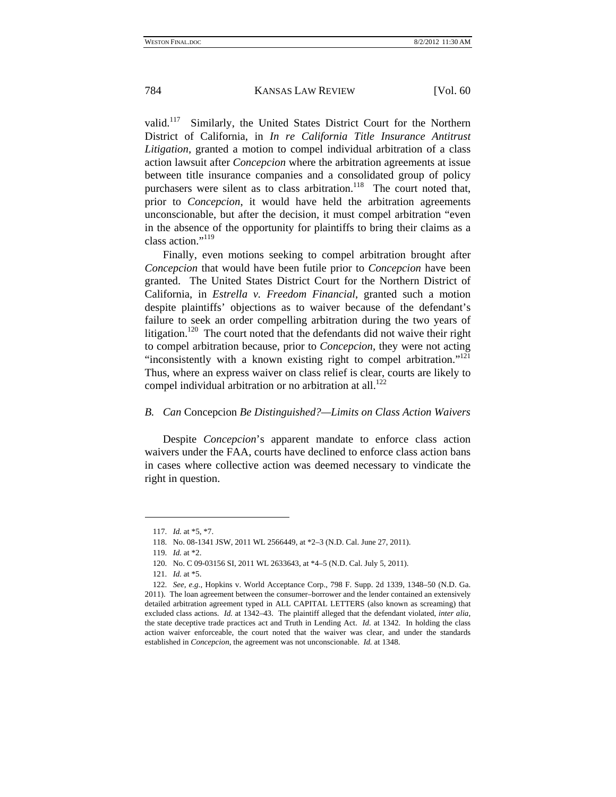valid.117 Similarly, the United States District Court for the Northern District of California, in *In re California Title Insurance Antitrust Litigation*, granted a motion to compel individual arbitration of a class action lawsuit after *Concepcion* where the arbitration agreements at issue between title insurance companies and a consolidated group of policy purchasers were silent as to class arbitration.<sup>118</sup> The court noted that, prior to *Concepcion*, it would have held the arbitration agreements unconscionable, but after the decision, it must compel arbitration "even in the absence of the opportunity for plaintiffs to bring their claims as a class action."<sup>119</sup>

Finally, even motions seeking to compel arbitration brought after *Concepcion* that would have been futile prior to *Concepcion* have been granted. The United States District Court for the Northern District of California, in *Estrella v. Freedom Financial*, granted such a motion despite plaintiffs' objections as to waiver because of the defendant's failure to seek an order compelling arbitration during the two years of litigation.<sup>120</sup> The court noted that the defendants did not waive their right to compel arbitration because, prior to *Concepcion*, they were not acting "inconsistently with a known existing right to compel arbitration."<sup>121</sup> Thus, where an express waiver on class relief is clear, courts are likely to compel individual arbitration or no arbitration at all.<sup>122</sup>

# *B. Can* Concepcion *Be Distinguished?—Limits on Class Action Waivers*

Despite *Concepcion*'s apparent mandate to enforce class action waivers under the FAA, courts have declined to enforce class action bans in cases where collective action was deemed necessary to vindicate the right in question.

<sup>117.</sup> *Id.* at \*5, \*7.

 <sup>118.</sup> No. 08-1341 JSW, 2011 WL 2566449, at \*2–3 (N.D. Cal. June 27, 2011).

<sup>119.</sup> *Id.* at \*2.

 <sup>120.</sup> No. C 09-03156 SI, 2011 WL 2633643, at \*4–5 (N.D. Cal. July 5, 2011).

<sup>121.</sup> *Id.* at \*5.

<sup>122.</sup> *See, e.g.*, Hopkins v. World Acceptance Corp., 798 F. Supp. 2d 1339, 1348–50 (N.D. Ga. 2011). The loan agreement between the consumer–borrower and the lender contained an extensively detailed arbitration agreement typed in ALL CAPITAL LETTERS (also known as screaming) that excluded class actions. *Id.* at 1342–43. The plaintiff alleged that the defendant violated, *inter alia*, the state deceptive trade practices act and Truth in Lending Act. *Id.* at 1342. In holding the class action waiver enforceable, the court noted that the waiver was clear, and under the standards established in *Concepcion*, the agreement was not unconscionable. *Id.* at 1348.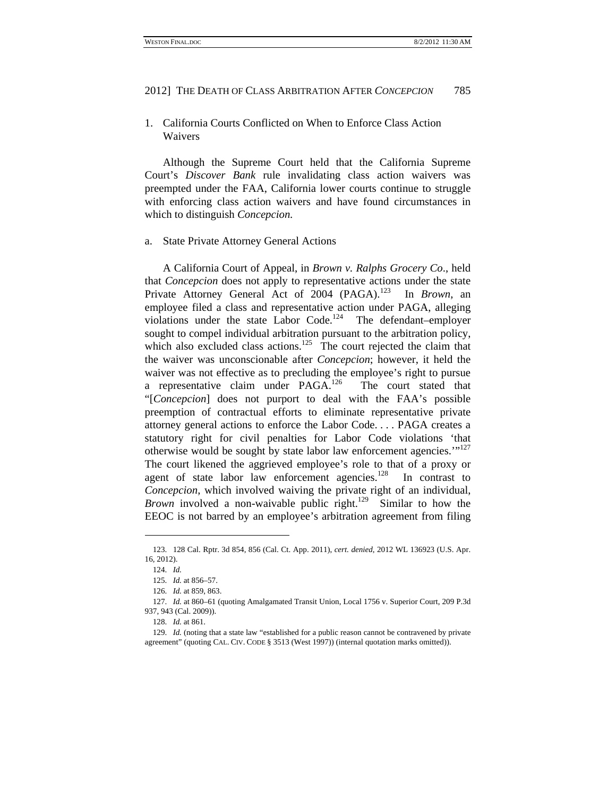1. California Courts Conflicted on When to Enforce Class Action Waivers

Although the Supreme Court held that the California Supreme Court's *Discover Bank* rule invalidating class action waivers was preempted under the FAA, California lower courts continue to struggle with enforcing class action waivers and have found circumstances in which to distinguish *Concepcion.*

### a. State Private Attorney General Actions

A California Court of Appeal, in *Brown v. Ralphs Grocery Co*., held that *Concepcion* does not apply to representative actions under the state Private Attorney General Act of 2004 (PAGA).<sup>123</sup> In *Brown*, an employee filed a class and representative action under PAGA, alleging violations under the state Labor Code.<sup>124</sup> The defendant–employer sought to compel individual arbitration pursuant to the arbitration policy, which also excluded class actions.<sup>125</sup> The court rejected the claim that the waiver was unconscionable after *Concepcion*; however, it held the waiver was not effective as to precluding the employee's right to pursue a representative claim under PAGA.126 The court stated that "[*Concepcion*] does not purport to deal with the FAA's possible preemption of contractual efforts to eliminate representative private attorney general actions to enforce the Labor Code. . . . PAGA creates a statutory right for civil penalties for Labor Code violations 'that otherwise would be sought by state labor law enforcement agencies."<sup>127</sup> The court likened the aggrieved employee's role to that of a proxy or agent of state labor law enforcement agencies.<sup>128</sup> In contrast to *Concepcion*, which involved waiving the private right of an individual, *Brown* involved a non-waivable public right.<sup>129</sup> Similar to how the EEOC is not barred by an employee's arbitration agreement from filing

 <sup>123. 128</sup> Cal. Rptr. 3d 854, 856 (Cal. Ct. App. 2011), *cert. denied*, 2012 WL 136923 (U.S. Apr. 16, 2012).

<sup>124.</sup> *Id.*

<sup>125.</sup> *Id.* at 856–57.

<sup>126.</sup> *Id.* at 859, 863.

<sup>127.</sup> *Id.* at 860–61 (quoting Amalgamated Transit Union, Local 1756 v. Superior Court, 209 P.3d 937, 943 (Cal. 2009)).

<sup>128.</sup> *Id.* at 861.

<sup>129.</sup> *Id.* (noting that a state law "established for a public reason cannot be contravened by private agreement" (quoting CAL. CIV. CODE § 3513 (West 1997)) (internal quotation marks omitted)).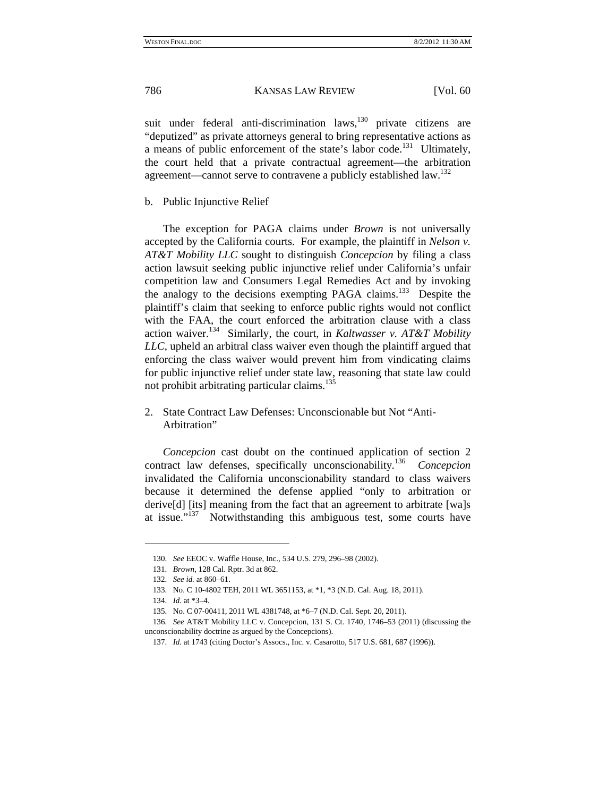suit under federal anti-discrimination laws, $130$  private citizens are "deputized" as private attorneys general to bring representative actions as a means of public enforcement of the state's labor code.<sup>131</sup> Ultimately, the court held that a private contractual agreement—the arbitration agreement—cannot serve to contravene a publicly established law.<sup>132</sup>

b. Public Injunctive Relief

The exception for PAGA claims under *Brown* is not universally accepted by the California courts. For example, the plaintiff in *Nelson v. AT&T Mobility LLC* sought to distinguish *Concepcion* by filing a class action lawsuit seeking public injunctive relief under California's unfair competition law and Consumers Legal Remedies Act and by invoking the analogy to the decisions exempting PAGA claims.<sup>133</sup> Despite the plaintiff's claim that seeking to enforce public rights would not conflict with the FAA, the court enforced the arbitration clause with a class action waiver.134 Similarly, the court, in *Kaltwasser v. AT&T Mobility LLC*, upheld an arbitral class waiver even though the plaintiff argued that enforcing the class waiver would prevent him from vindicating claims for public injunctive relief under state law, reasoning that state law could not prohibit arbitrating particular claims. $135$ 

# 2. State Contract Law Defenses: Unconscionable but Not "Anti-Arbitration"

*Concepcion* cast doubt on the continued application of section 2 contract law defenses, specifically unconscionability*.*  $Conception$ invalidated the California unconscionability standard to class waivers because it determined the defense applied "only to arbitration or derive[d] [its] meaning from the fact that an agreement to arbitrate [wa]s at issue."<sup>137</sup> Notwithstanding this ambiguous test, some courts have

<sup>130.</sup> *See* EEOC v. Waffle House, Inc., 534 U.S. 279, 296–98 (2002).

<sup>131.</sup> *Brown*, 128 Cal. Rptr. 3d at 862.

<sup>132.</sup> *See id.* at 860–61.

 <sup>133.</sup> No. C 10-4802 TEH, 2011 WL 3651153, at \*1, \*3 (N.D. Cal. Aug. 18, 2011).

<sup>134.</sup> *Id.* at \*3–4.

 <sup>135.</sup> No. C 07-00411, 2011 WL 4381748, at \*6–7 (N.D. Cal. Sept. 20, 2011).

<sup>136.</sup> *See* AT&T Mobility LLC v. Concepcion, 131 S. Ct. 1740, 1746–53 (2011) (discussing the unconscionability doctrine as argued by the Concepcions).

<sup>137.</sup> *Id.* at 1743 (citing Doctor's Assocs., Inc. v. Casarotto, 517 U.S. 681, 687 (1996)).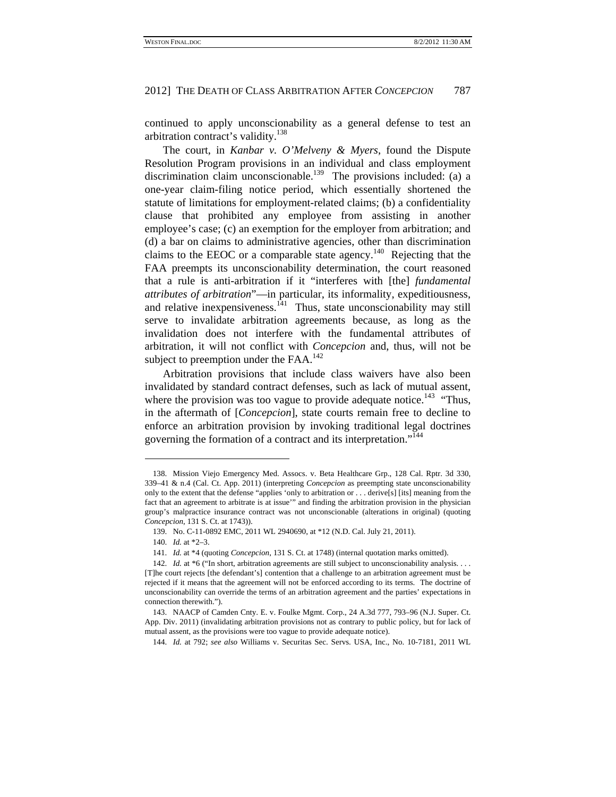continued to apply unconscionability as a general defense to test an arbitration contract's validity.<sup>138</sup>

The court, in *Kanbar v. O'Melveny & Myers*, found the Dispute Resolution Program provisions in an individual and class employment discrimination claim unconscionable.<sup>139</sup> The provisions included: (a) a one-year claim-filing notice period, which essentially shortened the statute of limitations for employment-related claims; (b) a confidentiality clause that prohibited any employee from assisting in another employee's case; (c) an exemption for the employer from arbitration; and (d) a bar on claims to administrative agencies, other than discrimination claims to the EEOC or a comparable state agency.<sup>140</sup> Rejecting that the FAA preempts its unconscionability determination, the court reasoned that a rule is anti-arbitration if it "interferes with [the] *fundamental attributes of arbitration*"—in particular, its informality, expeditiousness, and relative inexpensiveness. $141$  Thus, state unconscionability may still serve to invalidate arbitration agreements because, as long as the invalidation does not interfere with the fundamental attributes of arbitration, it will not conflict with *Concepcion* and, thus, will not be subject to preemption under the FAA.<sup>142</sup>

Arbitration provisions that include class waivers have also been invalidated by standard contract defenses, such as lack of mutual assent, where the provision was too vague to provide adequate notice.<sup>143</sup> "Thus, in the aftermath of [*Concepcion*], state courts remain free to decline to enforce an arbitration provision by invoking traditional legal doctrines governing the formation of a contract and its interpretation."144

 <sup>138.</sup> Mission Viejo Emergency Med. Assocs. v. Beta Healthcare Grp., 128 Cal. Rptr. 3d 330, 339–41 & n.4 (Cal. Ct. App. 2011) (interpreting *Concepcion* as preempting state unconscionability only to the extent that the defense "applies 'only to arbitration or . . . derive[s] [its] meaning from the fact that an agreement to arbitrate is at issue'" and finding the arbitration provision in the physician group's malpractice insurance contract was not unconscionable (alterations in original) (quoting *Concepcion*, 131 S. Ct. at 1743)).

 <sup>139.</sup> No. C-11-0892 EMC, 2011 WL 2940690, at \*12 (N.D. Cal. July 21, 2011).

<sup>140.</sup> *Id.* at \*2–3.

<sup>141.</sup> *Id.* at \*4 (quoting *Concepcion*, 131 S. Ct. at 1748) (internal quotation marks omitted).

<sup>142.</sup> *Id.* at \*6 ("In short, arbitration agreements are still subject to unconscionability analysis. . . . [T]he court rejects [the defendant's] contention that a challenge to an arbitration agreement must be rejected if it means that the agreement will not be enforced according to its terms. The doctrine of unconscionability can override the terms of an arbitration agreement and the parties' expectations in connection therewith.").

 <sup>143.</sup> NAACP of Camden Cnty. E. v. Foulke Mgmt. Corp., 24 A.3d 777, 793–96 (N.J. Super. Ct. App. Div. 2011) (invalidating arbitration provisions not as contrary to public policy, but for lack of mutual assent, as the provisions were too vague to provide adequate notice).

<sup>144.</sup> *Id.* at 792; *see also* Williams v. Securitas Sec. Servs. USA, Inc., No. 10-7181, 2011 WL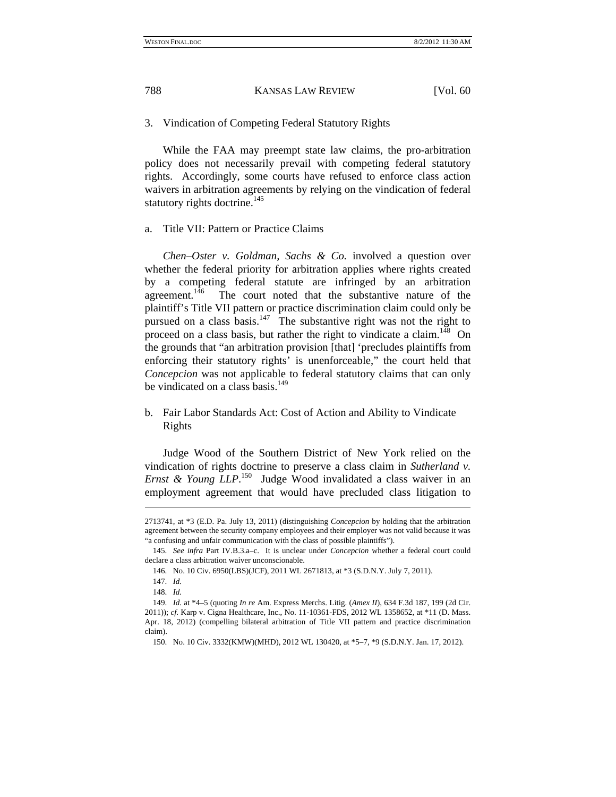3. Vindication of Competing Federal Statutory Rights

While the FAA may preempt state law claims, the pro-arbitration policy does not necessarily prevail with competing federal statutory rights. Accordingly, some courts have refused to enforce class action waivers in arbitration agreements by relying on the vindication of federal statutory rights doctrine.<sup>145</sup>

a. Title VII: Pattern or Practice Claims

*Chen–Oster v. Goldman, Sachs & Co.* involved a question over whether the federal priority for arbitration applies where rights created by a competing federal statute are infringed by an arbitration agreement.<sup>146</sup> The court noted that the substantive nature of the plaintiff's Title VII pattern or practice discrimination claim could only be pursued on a class basis. $147$  The substantive right was not the right to proceed on a class basis, but rather the right to vindicate a claim.<sup>148</sup> On the grounds that "an arbitration provision [that] 'precludes plaintiffs from enforcing their statutory rights' is unenforceable," the court held that *Concepcion* was not applicable to federal statutory claims that can only be vindicated on a class basis. $^{149}$ 

b. Fair Labor Standards Act: Cost of Action and Ability to Vindicate Rights

Judge Wood of the Southern District of New York relied on the vindication of rights doctrine to preserve a class claim in *Sutherland v. Ernst & Young LLP*. 150 Judge Wood invalidated a class waiver in an employment agreement that would have precluded class litigation to

1

<sup>2713741,</sup> at \*3 (E.D. Pa. July 13, 2011) (distinguishing *Concepcion* by holding that the arbitration agreement between the security company employees and their employer was not valid because it was "a confusing and unfair communication with the class of possible plaintiffs").

<sup>145.</sup> *See infra* Part IV.B.3.a–c. It is unclear under *Concepcion* whether a federal court could declare a class arbitration waiver unconscionable.

 <sup>146.</sup> No. 10 Civ. 6950(LBS)(JCF), 2011 WL 2671813, at \*3 (S.D.N.Y. July 7, 2011).

<sup>147.</sup> *Id.*

<sup>148.</sup> *Id.*

<sup>149.</sup> *Id.* at \*4–5 (quoting *In re* Am. Express Merchs. Litig. (*Amex II*), 634 F.3d 187, 199 (2d Cir. 2011)); *cf.* Karp v. Cigna Healthcare, Inc., No. 11-10361-FDS, 2012 WL 1358652, at \*11 (D. Mass. Apr. 18, 2012) (compelling bilateral arbitration of Title VII pattern and practice discrimination claim).

 <sup>150.</sup> No. 10 Civ. 3332(KMW)(MHD), 2012 WL 130420, at \*5–7, \*9 (S.D.N.Y. Jan. 17, 2012).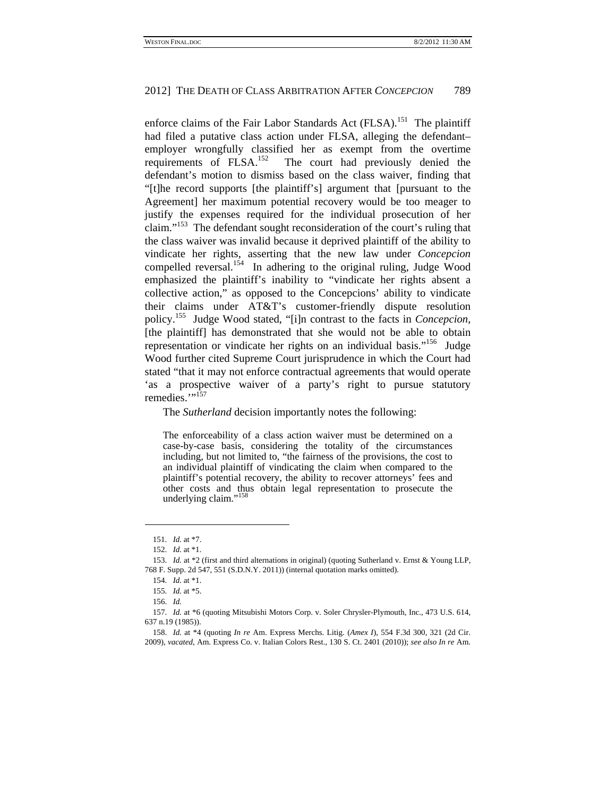enforce claims of the Fair Labor Standards Act (FLSA).<sup>151</sup> The plaintiff had filed a putative class action under FLSA, alleging the defendant– employer wrongfully classified her as exempt from the overtime requirements of FLSA.152 The court had previously denied the defendant's motion to dismiss based on the class waiver, finding that "[t]he record supports [the plaintiff's] argument that [pursuant to the Agreement] her maximum potential recovery would be too meager to justify the expenses required for the individual prosecution of her claim."153 The defendant sought reconsideration of the court's ruling that the class waiver was invalid because it deprived plaintiff of the ability to vindicate her rights, asserting that the new law under *Concepcion*  compelled reversal.<sup>154</sup> In adhering to the original ruling, Judge Wood emphasized the plaintiff's inability to "vindicate her rights absent a collective action," as opposed to the Concepcions' ability to vindicate their claims under AT&T's customer-friendly dispute resolution policy.155 Judge Wood stated, "[i]n contrast to the facts in *Concepcion*, [the plaintiff] has demonstrated that she would not be able to obtain representation or vindicate her rights on an individual basis."<sup>156</sup> Judge Wood further cited Supreme Court jurisprudence in which the Court had stated "that it may not enforce contractual agreements that would operate 'as a prospective waiver of a party's right to pursue statutory remedies."<sup>157</sup>

The *Sutherland* decision importantly notes the following:

The enforceability of a class action waiver must be determined on a case-by-case basis, considering the totality of the circumstances including, but not limited to, "the fairness of the provisions, the cost to an individual plaintiff of vindicating the claim when compared to the plaintiff's potential recovery, the ability to recover attorneys' fees and other costs and thus obtain legal representation to prosecute the underlying claim."<sup>158</sup>

<sup>151.</sup> *Id.* at \*7.

<sup>152.</sup> *Id.* at \*1.

<sup>153.</sup> *Id.* at \*2 (first and third alternations in original) (quoting Sutherland v. Ernst & Young LLP, 768 F. Supp. 2d 547, 551 (S.D.N.Y. 2011)) (internal quotation marks omitted).

<sup>154.</sup> *Id.* at \*1.

<sup>155.</sup> *Id.* at \*5.

<sup>156.</sup> *Id.*

<sup>157.</sup> *Id.* at \*6 (quoting Mitsubishi Motors Corp. v. Soler Chrysler-Plymouth, Inc., 473 U.S. 614, 637 n.19 (1985)).

<sup>158.</sup> *Id.* at \*4 (quoting *In re* Am. Express Merchs. Litig. (*Amex I*), 554 F.3d 300, 321 (2d Cir. 2009), *vacated*, Am. Express Co. v. Italian Colors Rest., 130 S. Ct. 2401 (2010)); *see also In re* Am.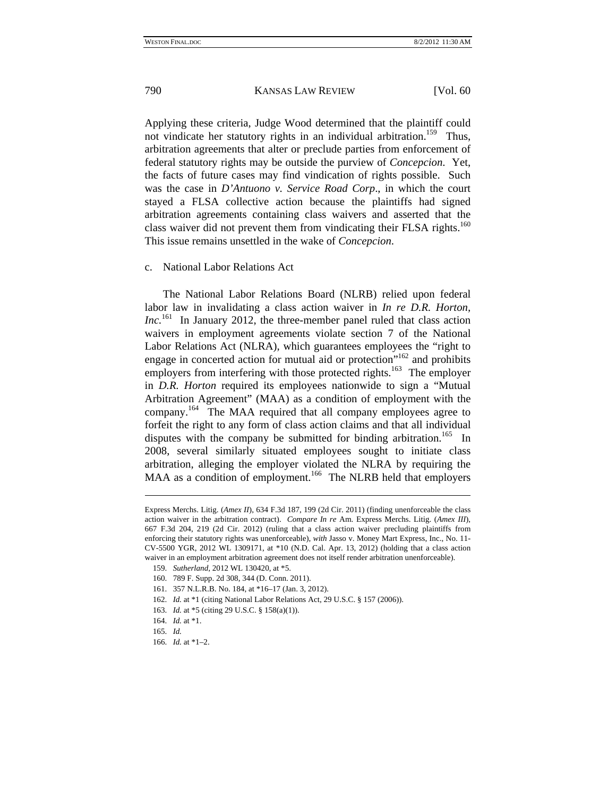Applying these criteria, Judge Wood determined that the plaintiff could not vindicate her statutory rights in an individual arbitration.<sup>159</sup> Thus, arbitration agreements that alter or preclude parties from enforcement of federal statutory rights may be outside the purview of *Concepcion*. Yet, the facts of future cases may find vindication of rights possible. Such was the case in *D'Antuono v. Service Road Corp*., in which the court stayed a FLSA collective action because the plaintiffs had signed arbitration agreements containing class waivers and asserted that the class waiver did not prevent them from vindicating their FLSA rights.<sup>160</sup> This issue remains unsettled in the wake of *Concepcion*.

## c. National Labor Relations Act

The National Labor Relations Board (NLRB) relied upon federal labor law in invalidating a class action waiver in *In re D.R. Horton, Inc.*<sup>161</sup> In January 2012, the three-member panel ruled that class action waivers in employment agreements violate section 7 of the National Labor Relations Act (NLRA), which guarantees employees the "right to engage in concerted action for mutual aid or protection"<sup>162</sup> and prohibits employers from interfering with those protected rights.<sup>163</sup> The employer in *D.R. Horton* required its employees nationwide to sign a "Mutual Arbitration Agreement" (MAA) as a condition of employment with the company.164 The MAA required that all company employees agree to forfeit the right to any form of class action claims and that all individual disputes with the company be submitted for binding arbitration.<sup>165</sup> In 2008, several similarly situated employees sought to initiate class arbitration, alleging the employer violated the NLRA by requiring the MAA as a condition of employment.<sup>166</sup> The NLRB held that employers

163. *Id.* at \*5 (citing 29 U.S.C. § 158(a)(1)).

1

Express Merchs. Litig. (*Amex II*), 634 F.3d 187, 199 (2d Cir. 2011) (finding unenforceable the class action waiver in the arbitration contract). *Compare In re* Am. Express Merchs. Litig. (*Amex III*), 667 F.3d 204, 219 (2d Cir. 2012) (ruling that a class action waiver precluding plaintiffs from enforcing their statutory rights was unenforceable), *with* Jasso v. Money Mart Express, Inc., No. 11- CV-5500 YGR, 2012 WL 1309171, at \*10 (N.D. Cal. Apr. 13, 2012) (holding that a class action waiver in an employment arbitration agreement does not itself render arbitration unenforceable).

<sup>159.</sup> *Sutherland*, 2012 WL 130420, at \*5.

 <sup>160. 789</sup> F. Supp. 2d 308, 344 (D. Conn. 2011).

 <sup>161. 357</sup> N.L.R.B. No. 184, at \*16–17 (Jan. 3, 2012).

<sup>162.</sup> *Id.* at \*1 (citing National Labor Relations Act, 29 U.S.C. § 157 (2006)).

<sup>164.</sup> *Id.* at \*1.

<sup>165.</sup> *Id.*

<sup>166.</sup> *Id.* at \*1–2.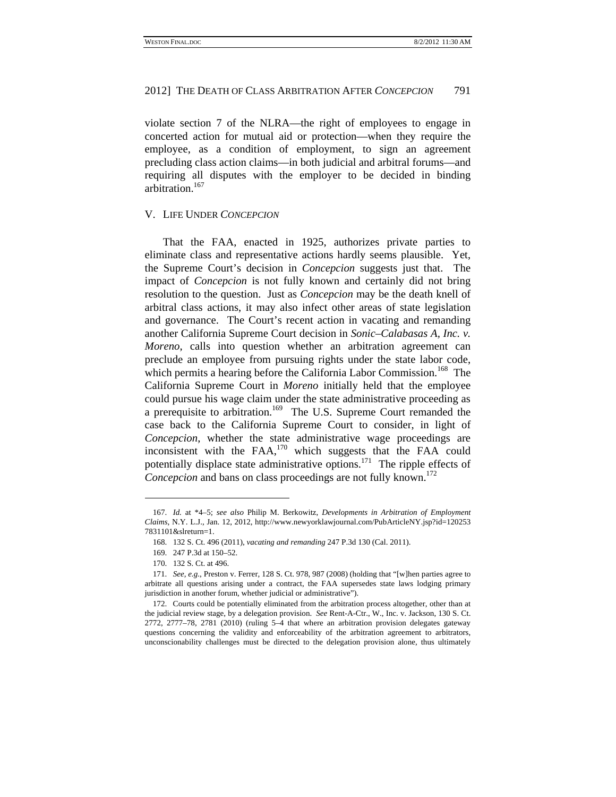violate section 7 of the NLRA—the right of employees to engage in concerted action for mutual aid or protection—when they require the employee, as a condition of employment, to sign an agreement precluding class action claims—in both judicial and arbitral forums—and requiring all disputes with the employer to be decided in binding arbitration.167

## V. LIFE UNDER *CONCEPCION*

That the FAA, enacted in 1925, authorizes private parties to eliminate class and representative actions hardly seems plausible. Yet, the Supreme Court's decision in *Concepcion* suggests just that. The impact of *Concepcion* is not fully known and certainly did not bring resolution to the question. Just as *Concepcion* may be the death knell of arbitral class actions, it may also infect other areas of state legislation and governance. The Court's recent action in vacating and remanding another California Supreme Court decision in *Sonic–Calabasas A, Inc. v. Moreno*, calls into question whether an arbitration agreement can preclude an employee from pursuing rights under the state labor code, which permits a hearing before the California Labor Commission.<sup>168</sup> The California Supreme Court in *Moreno* initially held that the employee could pursue his wage claim under the state administrative proceeding as a prerequisite to arbitration.<sup>169</sup> The U.S. Supreme Court remanded the case back to the California Supreme Court to consider, in light of *Concepcion*, whether the state administrative wage proceedings are inconsistent with the FAA,170 which suggests that the FAA could potentially displace state administrative options.<sup>171</sup> The ripple effects of *Concepcion* and bans on class proceedings are not fully known.<sup>172</sup>

<sup>167.</sup> *Id.* at \*4–5; *see also* Philip M. Berkowitz, *Developments in Arbitration of Employment Claims*, N.Y. L.J., Jan. 12, 2012, http://www.newyorklawjournal.com/PubArticleNY.jsp?id=120253 7831101&slreturn=1.

 <sup>168. 132</sup> S. Ct. 496 (2011), *vacating and remanding* 247 P.3d 130 (Cal. 2011).

 <sup>169. 247</sup> P.3d at 150–52.

 <sup>170. 132</sup> S. Ct. at 496.

<sup>171.</sup> *See, e.g.*, Preston v. Ferrer, 128 S. Ct. 978, 987 (2008) (holding that "[w]hen parties agree to arbitrate all questions arising under a contract, the FAA supersedes state laws lodging primary jurisdiction in another forum, whether judicial or administrative").

 <sup>172.</sup> Courts could be potentially eliminated from the arbitration process altogether, other than at the judicial review stage, by a delegation provision. *See* Rent-A-Ctr., W., Inc. v. Jackson, 130 S. Ct. 2772, 2777–78, 2781 (2010) (ruling 5–4 that where an arbitration provision delegates gateway questions concerning the validity and enforceability of the arbitration agreement to arbitrators, unconscionability challenges must be directed to the delegation provision alone, thus ultimately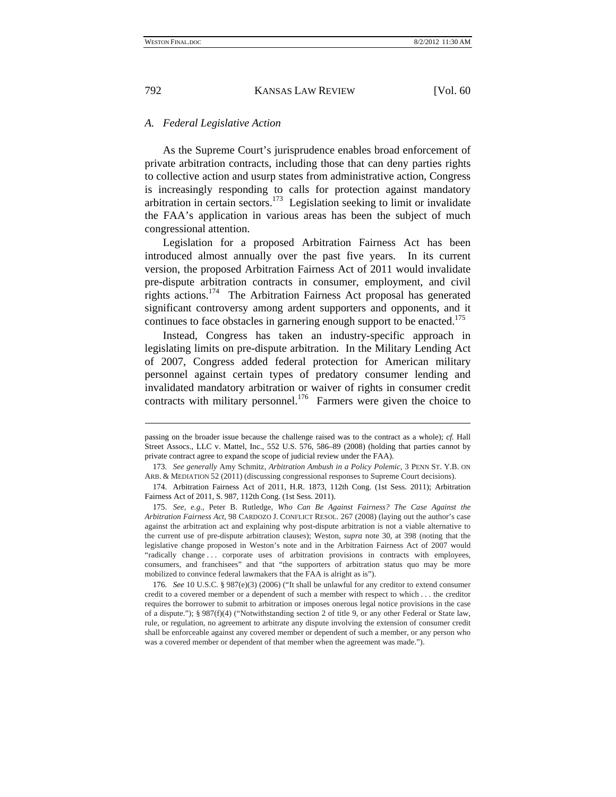# *A. Federal Legislative Action*

As the Supreme Court's jurisprudence enables broad enforcement of private arbitration contracts, including those that can deny parties rights to collective action and usurp states from administrative action, Congress is increasingly responding to calls for protection against mandatory arbitration in certain sectors.<sup>173</sup> Legislation seeking to limit or invalidate the FAA's application in various areas has been the subject of much congressional attention.

Legislation for a proposed Arbitration Fairness Act has been introduced almost annually over the past five years. In its current version, the proposed Arbitration Fairness Act of 2011 would invalidate pre-dispute arbitration contracts in consumer, employment, and civil rights actions.<sup>174</sup> The Arbitration Fairness Act proposal has generated significant controversy among ardent supporters and opponents, and it continues to face obstacles in garnering enough support to be enacted.<sup>175</sup>

Instead, Congress has taken an industry-specific approach in legislating limits on pre-dispute arbitration. In the Military Lending Act of 2007, Congress added federal protection for American military personnel against certain types of predatory consumer lending and invalidated mandatory arbitration or waiver of rights in consumer credit contracts with military personnel.<sup>176</sup> Farmers were given the choice to

passing on the broader issue because the challenge raised was to the contract as a whole); *cf.* Hall Street Assocs., LLC v. Mattel, Inc., 552 U.S. 576, 586–89 (2008) (holding that parties cannot by private contract agree to expand the scope of judicial review under the FAA).

<sup>173.</sup> *See generally* Amy Schmitz, *Arbitration Ambush in a Policy Polemic*, 3 PENN ST. Y.B. ON ARB. & MEDIATION 52 (2011) (discussing congressional responses to Supreme Court decisions).

 <sup>174.</sup> Arbitration Fairness Act of 2011, H.R. 1873, 112th Cong. (1st Sess. 2011); Arbitration Fairness Act of 2011, S. 987, 112th Cong. (1st Sess. 2011).

<sup>175.</sup> *See, e.g.*, Peter B. Rutledge, *Who Can Be Against Fairness? The Case Against the Arbitration Fairness Act*, 98 CARDOZO J. CONFLICT RESOL. 267 (2008) (laying out the author's case against the arbitration act and explaining why post-dispute arbitration is not a viable alternative to the current use of pre-dispute arbitration clauses); Weston, *supra* note 30, at 398 (noting that the legislative change proposed in Weston's note and in the Arbitration Fairness Act of 2007 would "radically change . . . corporate uses of arbitration provisions in contracts with employees, consumers, and franchisees" and that "the supporters of arbitration status quo may be more mobilized to convince federal lawmakers that the FAA is alright as is").

<sup>176.</sup> *See* 10 U.S.C. § 987(e)(3) (2006) ("It shall be unlawful for any creditor to extend consumer credit to a covered member or a dependent of such a member with respect to which . . . the creditor requires the borrower to submit to arbitration or imposes onerous legal notice provisions in the case of a dispute."); § 987(f)(4) ("Notwithstanding section 2 of title 9, or any other Federal or State law, rule, or regulation, no agreement to arbitrate any dispute involving the extension of consumer credit shall be enforceable against any covered member or dependent of such a member, or any person who was a covered member or dependent of that member when the agreement was made.").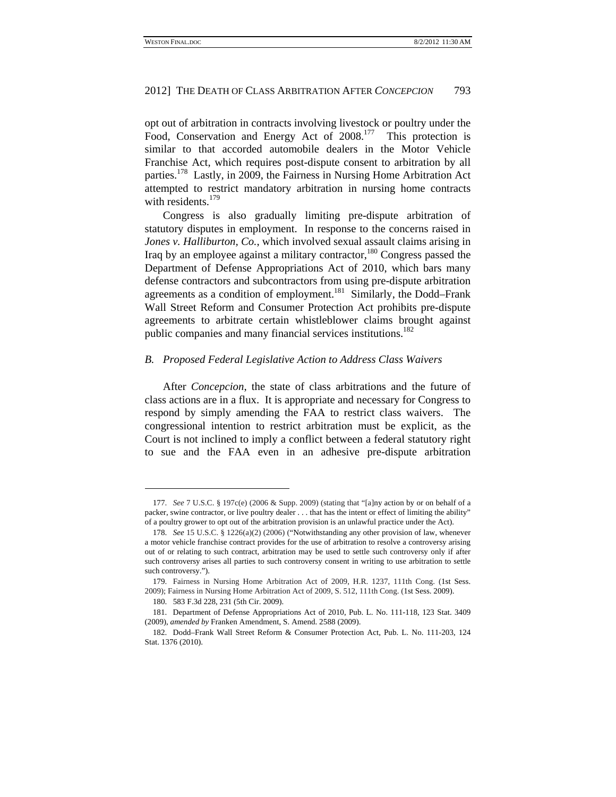opt out of arbitration in contracts involving livestock or poultry under the Food, Conservation and Energy Act of 2008.<sup>177</sup> This protection is similar to that accorded automobile dealers in the Motor Vehicle Franchise Act, which requires post-dispute consent to arbitration by all parties.<sup>178</sup> Lastly, in 2009, the Fairness in Nursing Home Arbitration Act attempted to restrict mandatory arbitration in nursing home contracts with residents. $179$ 

Congress is also gradually limiting pre-dispute arbitration of statutory disputes in employment. In response to the concerns raised in *Jones v. Halliburton, Co.*, which involved sexual assault claims arising in Iraq by an employee against a military contractor,<sup>180</sup> Congress passed the Department of Defense Appropriations Act of 2010, which bars many defense contractors and subcontractors from using pre-dispute arbitration agreements as a condition of employment.<sup>181</sup> Similarly, the Dodd–Frank Wall Street Reform and Consumer Protection Act prohibits pre-dispute agreements to arbitrate certain whistleblower claims brought against public companies and many financial services institutions.<sup>182</sup>

# *B. Proposed Federal Legislative Action to Address Class Waivers*

After *Concepcion*, the state of class arbitrations and the future of class actions are in a flux. It is appropriate and necessary for Congress to respond by simply amending the FAA to restrict class waivers. The congressional intention to restrict arbitration must be explicit, as the Court is not inclined to imply a conflict between a federal statutory right to sue and the FAA even in an adhesive pre-dispute arbitration

 $\overline{a}$ 

<sup>177.</sup> *See* 7 U.S.C. § 197c(e) (2006 & Supp. 2009) (stating that "[a]ny action by or on behalf of a packer, swine contractor, or live poultry dealer . . . that has the intent or effect of limiting the ability" of a poultry grower to opt out of the arbitration provision is an unlawful practice under the Act).

<sup>178.</sup> *See* 15 U.S.C. § 1226(a)(2) (2006) ("Notwithstanding any other provision of law, whenever a motor vehicle franchise contract provides for the use of arbitration to resolve a controversy arising out of or relating to such contract, arbitration may be used to settle such controversy only if after such controversy arises all parties to such controversy consent in writing to use arbitration to settle such controversy.").

<sup>179.</sup> Fairness in Nursing Home Arbitration Act of 2009, H.R. 1237, 111th Cong. (1st Sess. 2009); Fairness in Nursing Home Arbitration Act of 2009, S. 512, 111th Cong. (1st Sess. 2009).

 <sup>180. 583</sup> F.3d 228, 231 (5th Cir. 2009).

 <sup>181.</sup> Department of Defense Appropriations Act of 2010, Pub. L. No. 111-118, 123 Stat. 3409 (2009), *amended by* Franken Amendment, S. Amend. 2588 (2009).

 <sup>182.</sup> Dodd–Frank Wall Street Reform & Consumer Protection Act, Pub. L. No. 111-203, 124 Stat. 1376 (2010).